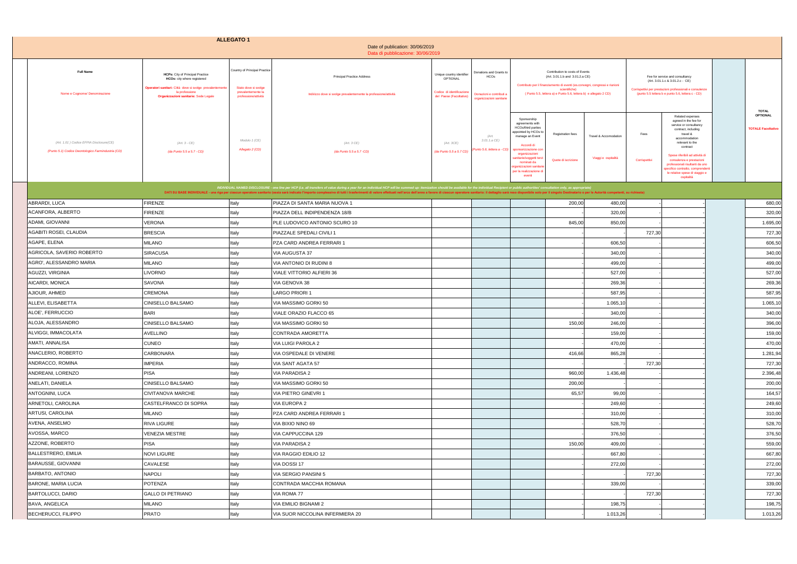|                                                                                               |                                                                                                                                                                                               | <b>ALLEGATO 1</b>                                                                                   | Date of publication: 30/06/2019<br>Data di pubblicazione: 30/06/2019                                                                                                                                                                                                                                                                                                                                                                                             |                                                                                               |                                                                                         |                                                                                                                                                                                                                                                             |                                                                                                                                                                                                                                        |                                              |                       |                                                                                                                                                                                                                                                                                                                                               |                                                       |
|-----------------------------------------------------------------------------------------------|-----------------------------------------------------------------------------------------------------------------------------------------------------------------------------------------------|-----------------------------------------------------------------------------------------------------|------------------------------------------------------------------------------------------------------------------------------------------------------------------------------------------------------------------------------------------------------------------------------------------------------------------------------------------------------------------------------------------------------------------------------------------------------------------|-----------------------------------------------------------------------------------------------|-----------------------------------------------------------------------------------------|-------------------------------------------------------------------------------------------------------------------------------------------------------------------------------------------------------------------------------------------------------------|----------------------------------------------------------------------------------------------------------------------------------------------------------------------------------------------------------------------------------------|----------------------------------------------|-----------------------|-----------------------------------------------------------------------------------------------------------------------------------------------------------------------------------------------------------------------------------------------------------------------------------------------------------------------------------------------|-------------------------------------------------------|
| <b>Full Name</b><br>Nome e Cognome/ Denominazione                                             | <b>HCPs:</b> City of Principal Practice<br>HCOs: city where registered<br>Operatori sanitari: Città dove si svolge prevalentemente<br>la professione<br>Organizzazioni sanitarie: Sede Legale | Country of Principal Practice<br>Stato dove si svolge<br>prevalentemente la<br>professione/attività | <b>Principal Practice Address</b><br>Indirizzo dove si svolge prevalentemente la professione/attività                                                                                                                                                                                                                                                                                                                                                            | Unique country identifier<br>OPTIONAL<br>Codice di identificazione<br>del Paese (Facoltativo) | Donations and Grants to<br>HCOs<br>Donazioni e contributi a<br>organizzazioni sanitarie |                                                                                                                                                                                                                                                             | Contribution to costs of Events<br>(Art. 3.01.1.b and 3.01.2.a CE)<br>Contributo per il finanziamento di eventi (es.convegni, congressi e riunioni<br>scientifiche)<br>(Punto 5.5, lettera a) e Punto 5.6, lettera b) e allegato 2 CD) |                                              |                       | Fee for service and consultancy<br>(Art. 3.01.1.c & 3.01.2.c - CE)<br>Corrispettivi per prestazioni professionali e consulenze<br>(punto 5.5 lettera b e punto 5.6, lettera c - CD)                                                                                                                                                           |                                                       |
| (Art. 1.01) Codice EFPIA Disclosure(CE)<br>(Punto 5.1) Codice Deontologico Farmindustria (CD) | (Art. 3 - CE)<br>(da Punto 5.5 a 5.7 - CD)                                                                                                                                                    | Modulo 1 (CE)<br>Allegato 2 (CD)                                                                    | (Art. 3 CE)<br>(da Punto 5.5 a 5.7 -CD)                                                                                                                                                                                                                                                                                                                                                                                                                          | (Art. 3CE)<br>da Punto 5.5 a 5.7 CD)                                                          | (Art.<br>3.01.1.a CE)<br>Punto 5.6, lettera a - CD                                      | Sponsorship<br>agreements with<br>HCOs/third parties<br>appointed by HCOs to<br>manage an Event<br>Accordi di<br>ponsorizzazione cor<br>organizzazioni<br>anitarie/soggetti ter<br>nominati da<br>ganizzazioni sanitari<br>per la realizzazione d<br>eventi | Registration fees<br>Quote di iscrizione                                                                                                                                                                                               | Travel & Accomodation<br>Viaggi e ospitalità | Fees<br>Corrispettivi | Related expenses<br>agreed in the fee for<br>service or consultancy<br>contract, including<br>travel &<br>accommodation<br>relevant to the<br>contract<br>Spese riferibili ad attività di<br>consulenza e prestazioni<br>professionali risultanti da uno<br>specifico contratto, comprendenti<br>le relative spese di viaggio e<br>ospitalità | <b>TOTAL</b><br>OPTIONAL<br><b>TOTALE Facoltativo</b> |
|                                                                                               |                                                                                                                                                                                               |                                                                                                     | INDIVIDUAL NAMED DISCLOSURE - one line per HCP (i.e. all transfers of value during a year for an individual HCP will be summed up: itemization should be available for the individual Recipient or public authorities' consult<br>DATI SU BASE INDIVIDUALE - una riga per ciascun operatore sanitario (ossia sarà indicato l'importo complessivo di tutti i trasferimenti di valore effettuati nell'arco dell'anno a favore di ciascun operatore sanitario: il d |                                                                                               |                                                                                         |                                                                                                                                                                                                                                                             |                                                                                                                                                                                                                                        |                                              |                       |                                                                                                                                                                                                                                                                                                                                               |                                                       |
| ABRARDI, LUCA                                                                                 | <b>FIRENZE</b>                                                                                                                                                                                | Italy                                                                                               | PIAZZA DI SANTA MARIA NUOVA 1                                                                                                                                                                                                                                                                                                                                                                                                                                    |                                                                                               |                                                                                         |                                                                                                                                                                                                                                                             | 200,00                                                                                                                                                                                                                                 | 480,00                                       |                       |                                                                                                                                                                                                                                                                                                                                               | 680,00                                                |
| ACANFORA, ALBERTO                                                                             | <b>FIRENZE</b>                                                                                                                                                                                | Italy                                                                                               | PIAZZA DELL INDIPENDENZA 18/B                                                                                                                                                                                                                                                                                                                                                                                                                                    |                                                                                               |                                                                                         |                                                                                                                                                                                                                                                             |                                                                                                                                                                                                                                        | 320,00                                       |                       |                                                                                                                                                                                                                                                                                                                                               | 320,00                                                |
| ADAMI, GIOVANNI                                                                               | VERONA                                                                                                                                                                                        | Italy                                                                                               | PLE LUDOVICO ANTONIO SCURO 10                                                                                                                                                                                                                                                                                                                                                                                                                                    |                                                                                               |                                                                                         |                                                                                                                                                                                                                                                             | 845,00                                                                                                                                                                                                                                 | 850,00                                       |                       |                                                                                                                                                                                                                                                                                                                                               | 1.695,00                                              |
| AGABITI ROSEI, CLAUDIA                                                                        | <b>BRESCIA</b>                                                                                                                                                                                | Italy                                                                                               | PIAZZALE SPEDALI CIVILI 1                                                                                                                                                                                                                                                                                                                                                                                                                                        |                                                                                               |                                                                                         |                                                                                                                                                                                                                                                             |                                                                                                                                                                                                                                        |                                              | 727,30                |                                                                                                                                                                                                                                                                                                                                               | 727,30                                                |
| AGAPE, ELENA                                                                                  | <b>MILANO</b>                                                                                                                                                                                 | Italy                                                                                               | PZA CARD ANDREA FERRARI 1                                                                                                                                                                                                                                                                                                                                                                                                                                        |                                                                                               |                                                                                         |                                                                                                                                                                                                                                                             |                                                                                                                                                                                                                                        | 606,50                                       |                       |                                                                                                                                                                                                                                                                                                                                               | 606,50                                                |
| AGRICOLA, SAVERIO ROBERTO                                                                     | <b>SIRACUSA</b>                                                                                                                                                                               | Italy                                                                                               | VIA AUGUSTA 37                                                                                                                                                                                                                                                                                                                                                                                                                                                   |                                                                                               |                                                                                         |                                                                                                                                                                                                                                                             |                                                                                                                                                                                                                                        | 340,00                                       |                       |                                                                                                                                                                                                                                                                                                                                               | 340,00                                                |
| AGRO', ALESSANDRO MARIA                                                                       | <b>MILANO</b>                                                                                                                                                                                 | Italy                                                                                               | VIA ANTONIO DI RUDINI 8                                                                                                                                                                                                                                                                                                                                                                                                                                          |                                                                                               |                                                                                         |                                                                                                                                                                                                                                                             |                                                                                                                                                                                                                                        | 499,00                                       |                       |                                                                                                                                                                                                                                                                                                                                               | 499,00                                                |
| AGUZZI, VIRGINIA                                                                              | <b>LIVORNO</b>                                                                                                                                                                                | Italy                                                                                               | VIALE VITTORIO ALFIERI 36                                                                                                                                                                                                                                                                                                                                                                                                                                        |                                                                                               |                                                                                         |                                                                                                                                                                                                                                                             |                                                                                                                                                                                                                                        | 527,00                                       |                       |                                                                                                                                                                                                                                                                                                                                               | 527,00                                                |
| AICARDI, MONICA                                                                               | SAVONA                                                                                                                                                                                        | Italy                                                                                               | VIA GENOVA 38                                                                                                                                                                                                                                                                                                                                                                                                                                                    |                                                                                               |                                                                                         |                                                                                                                                                                                                                                                             |                                                                                                                                                                                                                                        | 269,36                                       |                       |                                                                                                                                                                                                                                                                                                                                               | 269,36                                                |
| AJIOUR, AHMED                                                                                 | CREMONA                                                                                                                                                                                       | Italy                                                                                               | LARGO PRIORI 1                                                                                                                                                                                                                                                                                                                                                                                                                                                   |                                                                                               |                                                                                         |                                                                                                                                                                                                                                                             |                                                                                                                                                                                                                                        | 587,95                                       |                       |                                                                                                                                                                                                                                                                                                                                               | 587,95                                                |
| ALLEVI, ELISABETTA                                                                            | CINISELLO BALSAMO                                                                                                                                                                             | Italy                                                                                               | VIA MASSIMO GORKI 50                                                                                                                                                                                                                                                                                                                                                                                                                                             |                                                                                               |                                                                                         |                                                                                                                                                                                                                                                             |                                                                                                                                                                                                                                        | 1.065,10                                     |                       |                                                                                                                                                                                                                                                                                                                                               | 1.065,10                                              |
| ALOE', FERRUCCIO                                                                              | <b>BARI</b>                                                                                                                                                                                   | Italy                                                                                               | VIALE ORAZIO FLACCO 65                                                                                                                                                                                                                                                                                                                                                                                                                                           |                                                                                               |                                                                                         |                                                                                                                                                                                                                                                             |                                                                                                                                                                                                                                        | 340,00                                       |                       |                                                                                                                                                                                                                                                                                                                                               | 340,00                                                |
| ALOJA, ALESSANDRO                                                                             | CINISELLO BALSAMO                                                                                                                                                                             | Italy                                                                                               | VIA MASSIMO GORKI 50                                                                                                                                                                                                                                                                                                                                                                                                                                             |                                                                                               |                                                                                         |                                                                                                                                                                                                                                                             | 150,00                                                                                                                                                                                                                                 | 246,00                                       |                       |                                                                                                                                                                                                                                                                                                                                               | 396,00                                                |
| ALVIGGI, IMMACOLATA                                                                           | <b>AVELLINO</b>                                                                                                                                                                               | Italy                                                                                               | CONTRADA AMORETTA                                                                                                                                                                                                                                                                                                                                                                                                                                                |                                                                                               |                                                                                         |                                                                                                                                                                                                                                                             |                                                                                                                                                                                                                                        | 159,00                                       |                       |                                                                                                                                                                                                                                                                                                                                               | 159,00                                                |
| AMATI, ANNALISA                                                                               | CUNEO                                                                                                                                                                                         | Italy                                                                                               | VIA LUIGI PAROLA 2                                                                                                                                                                                                                                                                                                                                                                                                                                               |                                                                                               |                                                                                         |                                                                                                                                                                                                                                                             |                                                                                                                                                                                                                                        | 470,00                                       |                       |                                                                                                                                                                                                                                                                                                                                               | 470,00                                                |
| ANACLERIO, ROBERTO                                                                            | <b>CARBONARA</b>                                                                                                                                                                              | Italy                                                                                               | VIA OSPEDALE DI VENERE                                                                                                                                                                                                                                                                                                                                                                                                                                           |                                                                                               |                                                                                         |                                                                                                                                                                                                                                                             | 416,66                                                                                                                                                                                                                                 | 865,28                                       |                       |                                                                                                                                                                                                                                                                                                                                               | 1.281,94                                              |
| ANDRACCO, ROMINA                                                                              | <b>IMPERIA</b>                                                                                                                                                                                | Italy                                                                                               | VIA SANT AGATA 57                                                                                                                                                                                                                                                                                                                                                                                                                                                |                                                                                               |                                                                                         |                                                                                                                                                                                                                                                             |                                                                                                                                                                                                                                        |                                              | 727,30                |                                                                                                                                                                                                                                                                                                                                               | 727,30                                                |
| ANDREANI, LORENZO                                                                             | <b>PISA</b>                                                                                                                                                                                   | Italy                                                                                               | <b>VIA PARADISA 2</b>                                                                                                                                                                                                                                                                                                                                                                                                                                            |                                                                                               |                                                                                         |                                                                                                                                                                                                                                                             | 960,00                                                                                                                                                                                                                                 | 1.436,48                                     |                       |                                                                                                                                                                                                                                                                                                                                               | 2.396,48                                              |
| ANELATI, DANIELA                                                                              | CINISELLO BALSAMO                                                                                                                                                                             | Italy                                                                                               | VIA MASSIMO GORKI 50                                                                                                                                                                                                                                                                                                                                                                                                                                             |                                                                                               |                                                                                         |                                                                                                                                                                                                                                                             | 200,00                                                                                                                                                                                                                                 |                                              |                       |                                                                                                                                                                                                                                                                                                                                               | 200,00                                                |
| ANTOGNINI, LUCA                                                                               | CIVITANOVA MARCHE                                                                                                                                                                             | Italy                                                                                               | VIA PIETRO GINEVRI 1                                                                                                                                                                                                                                                                                                                                                                                                                                             |                                                                                               |                                                                                         |                                                                                                                                                                                                                                                             | 65,57                                                                                                                                                                                                                                  | 99,00                                        |                       |                                                                                                                                                                                                                                                                                                                                               | 164,57                                                |
| ARNETOLI, CAROLINA                                                                            | CASTELFRANCO DI SOPRA                                                                                                                                                                         | Italy                                                                                               | VIA EUROPA 2                                                                                                                                                                                                                                                                                                                                                                                                                                                     |                                                                                               |                                                                                         |                                                                                                                                                                                                                                                             |                                                                                                                                                                                                                                        | 249,60                                       |                       |                                                                                                                                                                                                                                                                                                                                               | 249,60                                                |
| ARTUSI, CAROLINA                                                                              | <b>MILANO</b>                                                                                                                                                                                 | Italy                                                                                               | PZA CARD ANDREA FERRARI 1                                                                                                                                                                                                                                                                                                                                                                                                                                        |                                                                                               |                                                                                         |                                                                                                                                                                                                                                                             |                                                                                                                                                                                                                                        | 310,00                                       |                       |                                                                                                                                                                                                                                                                                                                                               | 310,00                                                |
| AVENA, ANSELMO                                                                                | RIVA LIGURE                                                                                                                                                                                   | Italy                                                                                               | VIA BIXIO NINO 69                                                                                                                                                                                                                                                                                                                                                                                                                                                |                                                                                               |                                                                                         |                                                                                                                                                                                                                                                             |                                                                                                                                                                                                                                        | 528,70                                       |                       |                                                                                                                                                                                                                                                                                                                                               | 528,70                                                |
| AVOSSA, MARCO                                                                                 | VENEZIA MESTRE                                                                                                                                                                                | Italy                                                                                               | VIA CAPPUCCINA 129                                                                                                                                                                                                                                                                                                                                                                                                                                               |                                                                                               |                                                                                         |                                                                                                                                                                                                                                                             |                                                                                                                                                                                                                                        | 376,50                                       |                       |                                                                                                                                                                                                                                                                                                                                               | 376,50                                                |
| AZZONE, ROBERTO                                                                               | <b>PISA</b>                                                                                                                                                                                   | Italy                                                                                               | <b>VIA PARADISA 2</b>                                                                                                                                                                                                                                                                                                                                                                                                                                            |                                                                                               |                                                                                         |                                                                                                                                                                                                                                                             | 150,00                                                                                                                                                                                                                                 | 409,00                                       |                       |                                                                                                                                                                                                                                                                                                                                               | 559,00                                                |
| <b>BALLESTRERO, EMILIA</b>                                                                    | <b>NOVI LIGURE</b>                                                                                                                                                                            | Italy                                                                                               | VIA RAGGIO EDILIO 12                                                                                                                                                                                                                                                                                                                                                                                                                                             |                                                                                               |                                                                                         |                                                                                                                                                                                                                                                             |                                                                                                                                                                                                                                        | 667,80                                       |                       |                                                                                                                                                                                                                                                                                                                                               | 667,80                                                |
| BARAUSSE, GIOVANNI                                                                            | CAVALESE                                                                                                                                                                                      | Italy                                                                                               | VIA DOSSI 17                                                                                                                                                                                                                                                                                                                                                                                                                                                     |                                                                                               |                                                                                         |                                                                                                                                                                                                                                                             |                                                                                                                                                                                                                                        | 272,00                                       |                       |                                                                                                                                                                                                                                                                                                                                               | 272,00                                                |
| BARBATO, ANTONIO                                                                              | NAPOLI                                                                                                                                                                                        | Italy                                                                                               | VIA SERGIO PANSINI 5                                                                                                                                                                                                                                                                                                                                                                                                                                             |                                                                                               |                                                                                         |                                                                                                                                                                                                                                                             |                                                                                                                                                                                                                                        |                                              | 727,30                |                                                                                                                                                                                                                                                                                                                                               | 727,30                                                |
| BARONE, MARIA LUCIA                                                                           | POTENZA                                                                                                                                                                                       | Italy                                                                                               | CONTRADA MACCHIA ROMANA                                                                                                                                                                                                                                                                                                                                                                                                                                          |                                                                                               |                                                                                         |                                                                                                                                                                                                                                                             |                                                                                                                                                                                                                                        | 339,00                                       |                       |                                                                                                                                                                                                                                                                                                                                               | 339,00                                                |
| <b>BARTOLUCCI, DARIO</b>                                                                      | <b>GALLO DI PETRIANO</b>                                                                                                                                                                      | Italy                                                                                               | VIA ROMA 77                                                                                                                                                                                                                                                                                                                                                                                                                                                      |                                                                                               |                                                                                         |                                                                                                                                                                                                                                                             |                                                                                                                                                                                                                                        |                                              | 727,30                |                                                                                                                                                                                                                                                                                                                                               | 727,30                                                |
| BAVA, ANGELICA                                                                                | <b>MILANO</b>                                                                                                                                                                                 | Italy                                                                                               | VIA EMILIO BIGNAMI 2                                                                                                                                                                                                                                                                                                                                                                                                                                             |                                                                                               |                                                                                         |                                                                                                                                                                                                                                                             |                                                                                                                                                                                                                                        | 198,75                                       |                       |                                                                                                                                                                                                                                                                                                                                               | 198,75                                                |
| BECHERUCCI, FILIPPO                                                                           | <b>PRATO</b>                                                                                                                                                                                  | Italy                                                                                               | VIA SUOR NICCOLINA INFERMIERA 20                                                                                                                                                                                                                                                                                                                                                                                                                                 |                                                                                               |                                                                                         |                                                                                                                                                                                                                                                             |                                                                                                                                                                                                                                        | 1.013,26                                     |                       |                                                                                                                                                                                                                                                                                                                                               | 1.013,26                                              |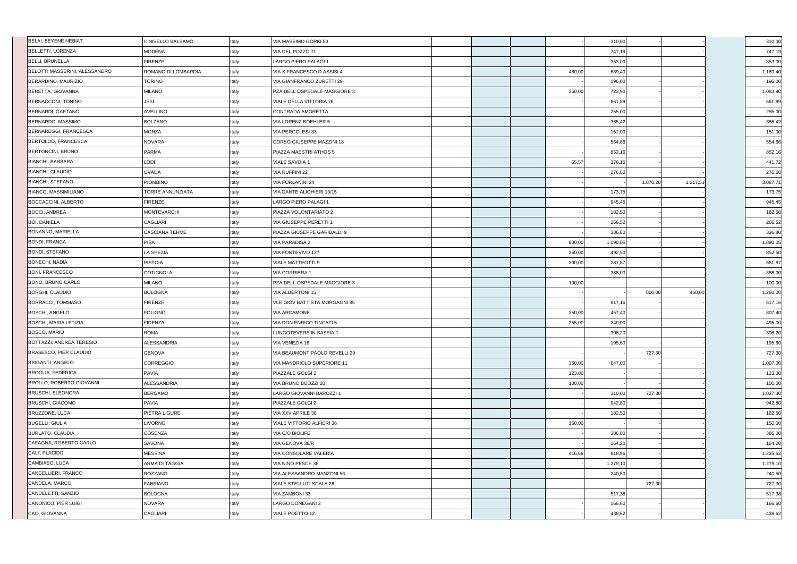| BELAI, BEYENE NEBIAT          | <b>CINISELLO BALSAMO</b> | Italy | VIA MASSIMO GORKI 50          |        | 310,00   |          |          | 310,00   |
|-------------------------------|--------------------------|-------|-------------------------------|--------|----------|----------|----------|----------|
| BELLETTI, LORENZA             | <b>MODENA</b>            | Italy | VIA DEL POZZO 71              |        | 747,19   |          |          | 747,19   |
| BELLI, BRUNELLA               | <b>FIRENZE</b>           | Italy | LARGO PIERO PALAGI 1          |        | 353,00   |          |          | 353,00   |
| BELOTTI MASSERINI, ALESSANDRO | ROMANO DI LOMBARDIA      | Italy | VIA S FRANCESCO D ASSISI 4    | 480,00 | 689,40   |          |          | 1.169,40 |
| BERARDINO, MAURIZIO           | <b>TORINO</b>            | Italy | VIA GIANFRANCO ZURETTI 29     |        | 196,00   |          |          | 196,00   |
| BERETTA, GIOVANNA             | <b>MILANO</b>            | Italy | PZA DELL OSPEDALE MAGGIORE 3  | 360,00 | 723,90   |          |          | 1.083,90 |
| BERNACCONI, TONINO            | <b>JESI</b>              | Italy | VIALE DELLA VITTORIA 76       |        | 661,89   |          |          | 661,89   |
| BERNARDI, GAETANO             | <b>AVELLINO</b>          | Italy | <b>CONTRADA AMORETTA</b>      |        | 255,00   |          |          | 255,00   |
| BERNARDO, MASSIMO             | <b>BOLZANO</b>           | Italy | VIA LORENZ BOEHLER 5          |        | 365,42   |          |          | 365,42   |
| BERNAREGGI, FRANCESCA         | <b>MONZA</b>             | Italy | VIA PERGOLESI 33              |        | 151,00   |          |          | 151,00   |
| BERTOLDO, FRANCESCA           | <b>NOVARA</b>            | Italy | CORSO GIUSEPPE MAZZINI 18     |        | 554,66   |          |          | 554,66   |
| BERTONCINI, BRUNO             | <b>PARMA</b>             | Italy | PIAZZA MAESTRI ATHOS 5        |        | 852,16   |          |          | 852,16   |
| <b>BIANCHI, BARBARA</b>       | LODI                     | Italy | <b>VIALE SAVOIA 1</b>         | 65,57  | 376,15   |          |          | 441,72   |
| BIANCHI, CLAUDIO              | <b>OVADA</b>             | Italy | <b>VIA RUFFINI 22</b>         |        | 276,60   |          |          | 276,60   |
| <b>BIANCHI, STEFANO</b>       | <b>PIOMBINO</b>          | Italy | <b>VIA FORLANINI 24</b>       |        |          | 1.870,20 | 1.217,51 | 3.087,71 |
| BIANCO, MASSIMILIANO          | TORRE ANNUNZIATA         | Italy | VIA DANTE ALIGHIERI 13/15     |        | 173,75   |          |          | 173,75   |
| <b>BOCCACCINI, ALBERTO</b>    | <b>FIRENZE</b>           | Italy | LARGO PIERO PALAGI 1          |        | 945,45   |          |          | 945,45   |
| <b>BOCCI, ANDREA</b>          | <b>MONTEVARCHI</b>       | Italy | PIAZZA VOLONTARIATO 2         |        | 182,50   |          |          | 182,50   |
| <b>BOI, DANIELA</b>           | <b>CAGLIARI</b>          | Italy | VIA GIUSEPPE PERETTI 1        |        | 266,52   |          |          | 266,52   |
| BONANNO, MARIELLA             | <b>CASCIANA TERME</b>    | Italy | PIAZZA GIUSEPPE GARIBALDI 9   |        | 336,80   |          |          | 336,80   |
| <b>BONDI, FRANCA</b>          | <b>PISA</b>              | Italy | <b>VIA PARADISA 2</b>         | 800,00 | 1.090,05 |          |          | 1.890,05 |
| <b>BONDI, STEFANO</b>         | <b>LA SPEZIA</b>         | Italy | VIA FONTEVIVO 127             | 360,00 | 492,50   |          |          | 852,50   |
| <b>BONECHI, NADIA</b>         | <b>PISTOIA</b>           | Italy | <b>VIALE MATTEOTTI 9</b>      | 300,00 | 281,87   |          |          | 581,87   |
| <b>BONI, FRANCESCO</b>        | <b>COTIGNOLA</b>         | Italy | <b>VIA CORRIERA 1</b>         |        | 388,00   |          |          | 388,00   |
| BONO, BRUNO CARLO             | <b>MILANO</b>            | Italy | PZA DELL OSPEDALE MAGGIORE 3  | 100,00 |          |          |          | 100,00   |
| BORGHI, CLAUDIO               | <b>BOLOGNA</b>           | Italy | <b>VIA ALBERTONI 15</b>       |        |          | 800,00   | 460,00   | 1.260,00 |
| BORRACCI, TOMMASO             | <b>FIRENZE</b>           | Italy | VLE GIOV BATTISTA MORGAGNI 85 |        | 617,16   |          |          | 617,16   |
| <b>BOSCHI, ANGELO</b>         | <b>FOLIGNO</b>           | Italy | <b>VIA ARCAMONE</b>           | 350,00 | 457,40   |          |          | 807,40   |
| <b>BOSCHI, MARIA LETIZIA</b>  | <b>FIDENZA</b>           | Italy | VIA DON ENRICO TINCATI 5      | 255,00 | 240,00   |          |          | 495,00   |
| BOSCO, MARIO                  | <b>ROMA</b>              | Italy | LUNGOTEVERE IN SASSIA 1       |        | 308,20   |          |          | 308,20   |
| BOTTAZZI, ANDREA TERESIO      | ALESSANDRIA              | Italy | VIA VENEZIA 16                |        | 195,60   |          |          | 195,60   |
| BRASESCO, PIER CLAUDIO        | <b>GENOVA</b>            | Italy | VIA BEAUMONT PAOLO REVELLI 29 |        |          | 727,30   |          | 727,30   |
| <b>BRIGANTI, ANGELO</b>       | <b>CORREGGIO</b>         | Italy | VIA MANDRIOLO SUPERIORE 11    | 360,00 | 647,00   |          |          | 1.007,00 |
| BROGLIA, FEDERICA             | <b>PAVIA</b>             | Italy | PIAZZALE GOLGI 2              | 123,00 |          |          |          | 123,00   |
| BROLLO, ROBERTO GIOVANNI      | ALESSANDRIA              | Italy | VIA BRUNO BUOZZI 20           | 100,00 |          |          |          | 100,00   |
| <b>BRUSCHI, ELEONORA</b>      |                          |       |                               |        |          |          |          | 1.037,30 |
|                               | <b>BERGAMO</b>           | Italy | LARGO GIOVANNI BAROZZI 1      |        | 310,00   | 727,30   |          |          |
| <b>BRUSCHI, GIACOMO</b>       | PAVIA                    | Italy | PIAZZALE GOLGI 2              |        | 942,80   |          |          | 942,80   |
| BRUZZONE, LUCA                | PIETRA LIGURE            | Italy | VIA XXV APRILE 38             |        | 182,50   |          |          | 182,50   |
| <b>BUGELLI, GIULIA</b>        | <b>LIVORNO</b>           | Italy | VIALE VITTORIO ALFIERI 36     | 150,00 |          |          |          | 150,00   |
| <b>BURLATO, CLAUDIA</b>       | <b>COSENZA</b>           | Italy | VIA C/O BIOLIFE               |        | 386,00   |          |          | 386,00   |
| CAFAGNA, ROBERTO CARLO        | <b>SAVONA</b>            | Italy | VIA GENOVA 38/R               |        | 164,20   |          |          | 164,20   |
| CALI', PLACIDO                | <b>MESSINA</b>           | Italy | VIA CONSOLARE VALERIA         | 416,66 | 818,96   |          |          | 1.235,62 |
| CAMBIASO, LUCA                | <b>ARMA DI TAGGIA</b>    | Italy | VIA NINO PESCE 36             |        | 1.279,10 |          |          | 1.279,10 |
| CANCELLIERI, FRANCO           | ROZZANO                  | Italy | VIA ALESSANDRO MANZONI 56     |        | 240,50   |          |          | 240,50   |
| CANDELA, MARCO                | <b>FABRIANO</b>          | Italy | VIALE STELLUTI SCALA 26       |        |          | 727,30   |          | 727,30   |
| CANDELETTI, SANZIO            | <b>BOLOGNA</b>           | Italy | <b>VIA ZAMBONI 33</b>         |        | 517,38   |          |          | 517,38   |
| CANONICO, PIER LUIGI          | <b>NOVARA</b>            | Italy | LARGO DONEGANI 2              |        | 166,60   |          |          | 166,60   |
| CAO, GIOVANNA                 | <b>CAGLIARI</b>          | Italy | VIALE POETTO 12               |        | 438,62   |          |          | 438,62   |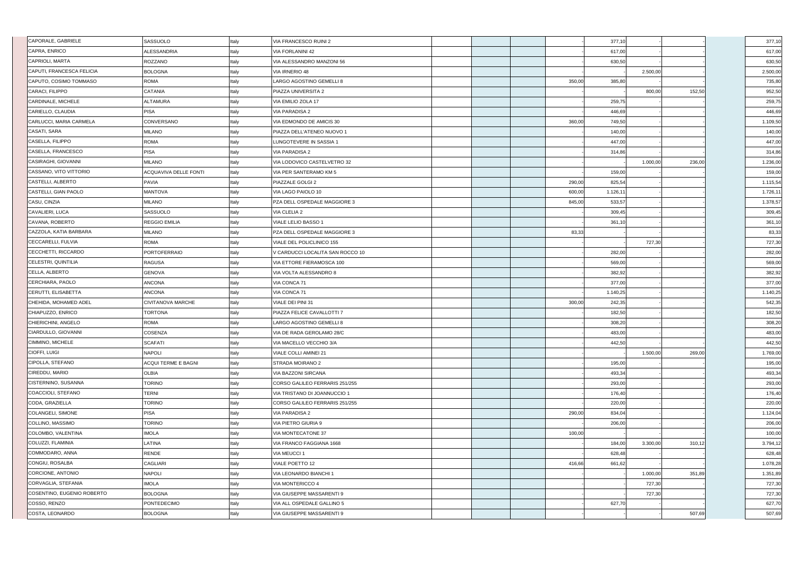| CAPRA, ENRICO<br><b>ALESSANDRIA</b><br>Italy<br><b>VIA FORLANINI 42</b><br>617,00<br>CAPRIOLI, MARTA<br>ROZZANO<br>Italy<br>VIA ALESSANDRO MANZONI 56<br>630,50<br>CAPUTI, FRANCESCA FELICIA<br><b>BOLOGNA</b><br>Italy<br>VIA IRNERIO 48<br>2.500,00<br>CAPUTO, COSIMO TOMMASO<br><b>ROMA</b><br>Italy<br>LARGO AGOSTINO GEMELLI 8<br>350,00<br>385,80<br>CARACI, FILIPPO<br>Italy<br><b>CATANIA</b><br>PIAZZA UNIVERSITA 2<br>152,50<br>800,00<br>Italy<br>CARDINALE, MICHELE<br><b>ALTAMURA</b><br>VIA EMILIO ZOLA 17<br>259,75<br><b>PISA</b><br>Italy<br>CARIELLO, CLAUDIA<br><b>VIA PARADISA 2</b><br>446,69<br>CARLUCCI, MARIA CARMELA<br>CONVERSANO<br>Italy<br>VIA EDMONDO DE AMICIS 30<br>360,00<br>749,50<br>CASATI, SARA<br>Italy<br>MILANO<br>PIAZZA DELL'ATENEO NUOVO 1<br>140,00<br>CASELLA, FILIPPO<br>Italy<br><b>ROMA</b><br>LUNGOTEVERE IN SASSIA 1<br>447,00<br>CASELLA, FRANCESCO<br><b>PISA</b><br>Italy<br><b>VIA PARADISA 2</b><br>314,86<br>CASIRAGHI, GIOVANNI<br><b>MILANO</b><br>Italy<br>VIA LODOVICO CASTELVETRO 32<br>1.000,00<br>236,00<br>CASSANO, VITO VITTORIO<br>Italy<br>ACQUAVIVA DELLE FONTI<br>VIA PER SANTERAMO KM 5<br>159,00<br>Italy<br>CASTELLI, ALBERTO<br>PIAZZALE GOLGI 2<br>290,00<br>825,54<br><b>PAVIA</b><br>CASTELLI, GIAN PAOLO<br>Italy<br><b>MANTOVA</b><br>VIA LAGO PAIOLO 10<br>600,00<br>1.126,11<br>CASU, CINZIA<br><b>MILANO</b><br>Italy<br>PZA DELL OSPEDALE MAGGIORE 3<br>845,00<br>533,57<br>CAVALIERI, LUCA<br>SASSUOLO<br>Italy<br><b>VIA CLELIA 2</b><br>309,45<br>CAVANA, ROBERTO<br>Italy<br><b>REGGIO EMILIA</b><br>VIALE LELIO BASSO 1<br>361,10<br>CAZZOLA, KATIA BARBARA<br>Italy<br><b>MILANO</b><br>PZA DELL OSPEDALE MAGGIORE 3<br>83,33<br>CECCARELLI, FULVIA<br>Italy<br><b>ROMA</b><br>727,30<br>VIALE DEL POLICLINICO 155<br>CECCHETTI, RICCARDO<br><b>PORTOFERRAIO</b><br>Italy<br>V CARDUCCI LOCALITA SAN ROCCO 10<br>282,00<br><b>CELESTRI, QUINTILIA</b><br><b>RAGUSA</b><br>Italy<br>VIA ETTORE FIERAMOSCA 100<br>569,00<br>CELLA, ALBERTO<br><b>GENOVA</b><br>Italy<br>VIA VOLTA ALESSANDRO 8<br>382,92<br>CERCHIARA, PAOLO<br><b>ANCONA</b><br>Italy<br>VIA CONCA 71<br>377,00<br>CERUTTI, ELISABETTA<br><b>ANCONA</b><br>Italy<br>VIA CONCA 71<br>1.140,25<br>CHEHIDA, MOHAMED ADEL<br>Italy<br><b>CIVITANOVA MARCHE</b><br>VIALE DEI PINI 31<br>300,00<br>242,35<br>CHIAPUZZO, ENRICO<br>Italy<br><b>TORTONA</b><br>PIAZZA FELICE CAVALLOTTI 7<br>182,50<br>CHIERICHINI, ANGELO<br><b>ROMA</b><br>Italy<br>LARGO AGOSTINO GEMELLI 8<br>308,20<br>CIARDULLO, GIOVANNI<br><b>COSENZA</b><br>Italy<br>VIA DE RADA GEROLAMO 28/C<br>483,00<br>CIMMINO, MICHELE<br><b>SCAFATI</b><br>Italy<br>VIA MACELLO VECCHIO 3/A<br>442,50<br>CIOFFI, LUIGI<br>Italy<br><b>NAPOLI</b><br><b>VIALE COLLI AMINEI 21</b><br>1.500,00<br>269,00<br>CIPOLLA, STEFANO<br>Italy<br>ACQUI TERME E BAGNI<br>STRADA MOIRANO 2<br>195,00<br>CIREDDU, MARIO<br>Italy<br><b>OLBIA</b><br>493,34<br><b>VIA BAZZONI SIRCANA</b><br><b>TORINO</b><br>Italy<br>CISTERNINO, SUSANNA<br>CORSO GALILEO FERRARIS 251/255<br>293,00<br>COACCIOLI, STEFANO<br><b>TERNI</b><br>Italy<br>VIA TRISTANO DI JOANNUCCIO 1<br>176,40<br>CODA, GRAZIELLA<br>TORINO<br>Italy<br>CORSO GALILEO FERRARIS 251/255<br>220,00<br>COLANGELI, SIMONE<br><b>PISA</b><br>Italy<br><b>VIA PARADISA 2</b><br>290,00<br>834,04<br><b>TORINO</b><br>Italy<br>COLLINO, MASSIMO<br>VIA PIETRO GIURIA 9<br>206,00<br>Italy<br>COLOMBO, VALENTINA<br><b>IMOLA</b><br>100,00<br><b>VIA MONTECATONE 37</b><br>LATINA<br>Italy<br>184,00<br>COLUZZI, FLAMINIA<br>VIA FRANCO FAGGIANA 1668<br>3.300,00<br>310,12<br>Italy<br>COMMODARO, ANNA<br><b>RENDE</b><br><b>VIA MEUCCI 1</b><br>628,48<br>CONGIU, ROSALBA<br><b>CAGLIARI</b><br>Italy<br>VIALE POETTO 12<br>416,66<br>661,62<br>CORCIONE, ANTONIO<br>Italy<br><b>NAPOLI</b><br>VIA LEONARDO BIANCHI 1<br>1.000,00<br>351,89<br>Italy<br><b>IMOLA</b><br>CORVAGLIA, STEFANIA<br><b>VIA MONTERICCO 4</b><br>727,30<br>Italy<br>COSENTINO, EUGENIO ROBERTO<br><b>BOLOGNA</b><br>VIA GIUSEPPE MASSARENTI 9<br>727,30<br>COSSO, RENZO<br><b>PONTEDECIMO</b><br>Italy<br>VIA ALL OSPEDALE GALLINO 5<br>627,70<br>COSTA, LEONARDO<br>Italy<br>507,69<br><b>BOLOGNA</b><br>VIA GIUSEPPE MASSARENTI 9 | CAPORALE, GABRIELE | SASSUOLO | Italy | VIA FRANCESCO RUINI 2 |  | 377,10 |  | 377,10   |
|--------------------------------------------------------------------------------------------------------------------------------------------------------------------------------------------------------------------------------------------------------------------------------------------------------------------------------------------------------------------------------------------------------------------------------------------------------------------------------------------------------------------------------------------------------------------------------------------------------------------------------------------------------------------------------------------------------------------------------------------------------------------------------------------------------------------------------------------------------------------------------------------------------------------------------------------------------------------------------------------------------------------------------------------------------------------------------------------------------------------------------------------------------------------------------------------------------------------------------------------------------------------------------------------------------------------------------------------------------------------------------------------------------------------------------------------------------------------------------------------------------------------------------------------------------------------------------------------------------------------------------------------------------------------------------------------------------------------------------------------------------------------------------------------------------------------------------------------------------------------------------------------------------------------------------------------------------------------------------------------------------------------------------------------------------------------------------------------------------------------------------------------------------------------------------------------------------------------------------------------------------------------------------------------------------------------------------------------------------------------------------------------------------------------------------------------------------------------------------------------------------------------------------------------------------------------------------------------------------------------------------------------------------------------------------------------------------------------------------------------------------------------------------------------------------------------------------------------------------------------------------------------------------------------------------------------------------------------------------------------------------------------------------------------------------------------------------------------------------------------------------------------------------------------------------------------------------------------------------------------------------------------------------------------------------------------------------------------------------------------------------------------------------------------------------------------------------------------------------------------------------------------------------------------------------------------------------------------------------------------------------------------------------------------------------------------------------------------------------------------------------------------------------------------------------------------------------------------------------------------------------------------------------------------------------------------------------------------------------------------------------------------------------------------------------------------------------------------------------------------------------------------------------------------------------------------------------------------------------------------------------------------------|--------------------|----------|-------|-----------------------|--|--------|--|----------|
|                                                                                                                                                                                                                                                                                                                                                                                                                                                                                                                                                                                                                                                                                                                                                                                                                                                                                                                                                                                                                                                                                                                                                                                                                                                                                                                                                                                                                                                                                                                                                                                                                                                                                                                                                                                                                                                                                                                                                                                                                                                                                                                                                                                                                                                                                                                                                                                                                                                                                                                                                                                                                                                                                                                                                                                                                                                                                                                                                                                                                                                                                                                                                                                                                                                                                                                                                                                                                                                                                                                                                                                                                                                                                                                                                                                                                                                                                                                                                                                                                                                                                                                                                                                                                                                                          |                    |          |       |                       |  |        |  | 617,00   |
|                                                                                                                                                                                                                                                                                                                                                                                                                                                                                                                                                                                                                                                                                                                                                                                                                                                                                                                                                                                                                                                                                                                                                                                                                                                                                                                                                                                                                                                                                                                                                                                                                                                                                                                                                                                                                                                                                                                                                                                                                                                                                                                                                                                                                                                                                                                                                                                                                                                                                                                                                                                                                                                                                                                                                                                                                                                                                                                                                                                                                                                                                                                                                                                                                                                                                                                                                                                                                                                                                                                                                                                                                                                                                                                                                                                                                                                                                                                                                                                                                                                                                                                                                                                                                                                                          |                    |          |       |                       |  |        |  | 630,50   |
|                                                                                                                                                                                                                                                                                                                                                                                                                                                                                                                                                                                                                                                                                                                                                                                                                                                                                                                                                                                                                                                                                                                                                                                                                                                                                                                                                                                                                                                                                                                                                                                                                                                                                                                                                                                                                                                                                                                                                                                                                                                                                                                                                                                                                                                                                                                                                                                                                                                                                                                                                                                                                                                                                                                                                                                                                                                                                                                                                                                                                                                                                                                                                                                                                                                                                                                                                                                                                                                                                                                                                                                                                                                                                                                                                                                                                                                                                                                                                                                                                                                                                                                                                                                                                                                                          |                    |          |       |                       |  |        |  | 2.500,00 |
|                                                                                                                                                                                                                                                                                                                                                                                                                                                                                                                                                                                                                                                                                                                                                                                                                                                                                                                                                                                                                                                                                                                                                                                                                                                                                                                                                                                                                                                                                                                                                                                                                                                                                                                                                                                                                                                                                                                                                                                                                                                                                                                                                                                                                                                                                                                                                                                                                                                                                                                                                                                                                                                                                                                                                                                                                                                                                                                                                                                                                                                                                                                                                                                                                                                                                                                                                                                                                                                                                                                                                                                                                                                                                                                                                                                                                                                                                                                                                                                                                                                                                                                                                                                                                                                                          |                    |          |       |                       |  |        |  | 735,80   |
|                                                                                                                                                                                                                                                                                                                                                                                                                                                                                                                                                                                                                                                                                                                                                                                                                                                                                                                                                                                                                                                                                                                                                                                                                                                                                                                                                                                                                                                                                                                                                                                                                                                                                                                                                                                                                                                                                                                                                                                                                                                                                                                                                                                                                                                                                                                                                                                                                                                                                                                                                                                                                                                                                                                                                                                                                                                                                                                                                                                                                                                                                                                                                                                                                                                                                                                                                                                                                                                                                                                                                                                                                                                                                                                                                                                                                                                                                                                                                                                                                                                                                                                                                                                                                                                                          |                    |          |       |                       |  |        |  | 952,50   |
|                                                                                                                                                                                                                                                                                                                                                                                                                                                                                                                                                                                                                                                                                                                                                                                                                                                                                                                                                                                                                                                                                                                                                                                                                                                                                                                                                                                                                                                                                                                                                                                                                                                                                                                                                                                                                                                                                                                                                                                                                                                                                                                                                                                                                                                                                                                                                                                                                                                                                                                                                                                                                                                                                                                                                                                                                                                                                                                                                                                                                                                                                                                                                                                                                                                                                                                                                                                                                                                                                                                                                                                                                                                                                                                                                                                                                                                                                                                                                                                                                                                                                                                                                                                                                                                                          |                    |          |       |                       |  |        |  | 259,75   |
|                                                                                                                                                                                                                                                                                                                                                                                                                                                                                                                                                                                                                                                                                                                                                                                                                                                                                                                                                                                                                                                                                                                                                                                                                                                                                                                                                                                                                                                                                                                                                                                                                                                                                                                                                                                                                                                                                                                                                                                                                                                                                                                                                                                                                                                                                                                                                                                                                                                                                                                                                                                                                                                                                                                                                                                                                                                                                                                                                                                                                                                                                                                                                                                                                                                                                                                                                                                                                                                                                                                                                                                                                                                                                                                                                                                                                                                                                                                                                                                                                                                                                                                                                                                                                                                                          |                    |          |       |                       |  |        |  | 446,69   |
|                                                                                                                                                                                                                                                                                                                                                                                                                                                                                                                                                                                                                                                                                                                                                                                                                                                                                                                                                                                                                                                                                                                                                                                                                                                                                                                                                                                                                                                                                                                                                                                                                                                                                                                                                                                                                                                                                                                                                                                                                                                                                                                                                                                                                                                                                                                                                                                                                                                                                                                                                                                                                                                                                                                                                                                                                                                                                                                                                                                                                                                                                                                                                                                                                                                                                                                                                                                                                                                                                                                                                                                                                                                                                                                                                                                                                                                                                                                                                                                                                                                                                                                                                                                                                                                                          |                    |          |       |                       |  |        |  | 1.109,50 |
|                                                                                                                                                                                                                                                                                                                                                                                                                                                                                                                                                                                                                                                                                                                                                                                                                                                                                                                                                                                                                                                                                                                                                                                                                                                                                                                                                                                                                                                                                                                                                                                                                                                                                                                                                                                                                                                                                                                                                                                                                                                                                                                                                                                                                                                                                                                                                                                                                                                                                                                                                                                                                                                                                                                                                                                                                                                                                                                                                                                                                                                                                                                                                                                                                                                                                                                                                                                                                                                                                                                                                                                                                                                                                                                                                                                                                                                                                                                                                                                                                                                                                                                                                                                                                                                                          |                    |          |       |                       |  |        |  | 140,00   |
|                                                                                                                                                                                                                                                                                                                                                                                                                                                                                                                                                                                                                                                                                                                                                                                                                                                                                                                                                                                                                                                                                                                                                                                                                                                                                                                                                                                                                                                                                                                                                                                                                                                                                                                                                                                                                                                                                                                                                                                                                                                                                                                                                                                                                                                                                                                                                                                                                                                                                                                                                                                                                                                                                                                                                                                                                                                                                                                                                                                                                                                                                                                                                                                                                                                                                                                                                                                                                                                                                                                                                                                                                                                                                                                                                                                                                                                                                                                                                                                                                                                                                                                                                                                                                                                                          |                    |          |       |                       |  |        |  | 447,00   |
|                                                                                                                                                                                                                                                                                                                                                                                                                                                                                                                                                                                                                                                                                                                                                                                                                                                                                                                                                                                                                                                                                                                                                                                                                                                                                                                                                                                                                                                                                                                                                                                                                                                                                                                                                                                                                                                                                                                                                                                                                                                                                                                                                                                                                                                                                                                                                                                                                                                                                                                                                                                                                                                                                                                                                                                                                                                                                                                                                                                                                                                                                                                                                                                                                                                                                                                                                                                                                                                                                                                                                                                                                                                                                                                                                                                                                                                                                                                                                                                                                                                                                                                                                                                                                                                                          |                    |          |       |                       |  |        |  | 314,86   |
|                                                                                                                                                                                                                                                                                                                                                                                                                                                                                                                                                                                                                                                                                                                                                                                                                                                                                                                                                                                                                                                                                                                                                                                                                                                                                                                                                                                                                                                                                                                                                                                                                                                                                                                                                                                                                                                                                                                                                                                                                                                                                                                                                                                                                                                                                                                                                                                                                                                                                                                                                                                                                                                                                                                                                                                                                                                                                                                                                                                                                                                                                                                                                                                                                                                                                                                                                                                                                                                                                                                                                                                                                                                                                                                                                                                                                                                                                                                                                                                                                                                                                                                                                                                                                                                                          |                    |          |       |                       |  |        |  | 1.236,00 |
|                                                                                                                                                                                                                                                                                                                                                                                                                                                                                                                                                                                                                                                                                                                                                                                                                                                                                                                                                                                                                                                                                                                                                                                                                                                                                                                                                                                                                                                                                                                                                                                                                                                                                                                                                                                                                                                                                                                                                                                                                                                                                                                                                                                                                                                                                                                                                                                                                                                                                                                                                                                                                                                                                                                                                                                                                                                                                                                                                                                                                                                                                                                                                                                                                                                                                                                                                                                                                                                                                                                                                                                                                                                                                                                                                                                                                                                                                                                                                                                                                                                                                                                                                                                                                                                                          |                    |          |       |                       |  |        |  | 159,00   |
|                                                                                                                                                                                                                                                                                                                                                                                                                                                                                                                                                                                                                                                                                                                                                                                                                                                                                                                                                                                                                                                                                                                                                                                                                                                                                                                                                                                                                                                                                                                                                                                                                                                                                                                                                                                                                                                                                                                                                                                                                                                                                                                                                                                                                                                                                                                                                                                                                                                                                                                                                                                                                                                                                                                                                                                                                                                                                                                                                                                                                                                                                                                                                                                                                                                                                                                                                                                                                                                                                                                                                                                                                                                                                                                                                                                                                                                                                                                                                                                                                                                                                                                                                                                                                                                                          |                    |          |       |                       |  |        |  | 1.115,54 |
|                                                                                                                                                                                                                                                                                                                                                                                                                                                                                                                                                                                                                                                                                                                                                                                                                                                                                                                                                                                                                                                                                                                                                                                                                                                                                                                                                                                                                                                                                                                                                                                                                                                                                                                                                                                                                                                                                                                                                                                                                                                                                                                                                                                                                                                                                                                                                                                                                                                                                                                                                                                                                                                                                                                                                                                                                                                                                                                                                                                                                                                                                                                                                                                                                                                                                                                                                                                                                                                                                                                                                                                                                                                                                                                                                                                                                                                                                                                                                                                                                                                                                                                                                                                                                                                                          |                    |          |       |                       |  |        |  | 1.726,11 |
|                                                                                                                                                                                                                                                                                                                                                                                                                                                                                                                                                                                                                                                                                                                                                                                                                                                                                                                                                                                                                                                                                                                                                                                                                                                                                                                                                                                                                                                                                                                                                                                                                                                                                                                                                                                                                                                                                                                                                                                                                                                                                                                                                                                                                                                                                                                                                                                                                                                                                                                                                                                                                                                                                                                                                                                                                                                                                                                                                                                                                                                                                                                                                                                                                                                                                                                                                                                                                                                                                                                                                                                                                                                                                                                                                                                                                                                                                                                                                                                                                                                                                                                                                                                                                                                                          |                    |          |       |                       |  |        |  | 1.378,57 |
|                                                                                                                                                                                                                                                                                                                                                                                                                                                                                                                                                                                                                                                                                                                                                                                                                                                                                                                                                                                                                                                                                                                                                                                                                                                                                                                                                                                                                                                                                                                                                                                                                                                                                                                                                                                                                                                                                                                                                                                                                                                                                                                                                                                                                                                                                                                                                                                                                                                                                                                                                                                                                                                                                                                                                                                                                                                                                                                                                                                                                                                                                                                                                                                                                                                                                                                                                                                                                                                                                                                                                                                                                                                                                                                                                                                                                                                                                                                                                                                                                                                                                                                                                                                                                                                                          |                    |          |       |                       |  |        |  | 309,45   |
|                                                                                                                                                                                                                                                                                                                                                                                                                                                                                                                                                                                                                                                                                                                                                                                                                                                                                                                                                                                                                                                                                                                                                                                                                                                                                                                                                                                                                                                                                                                                                                                                                                                                                                                                                                                                                                                                                                                                                                                                                                                                                                                                                                                                                                                                                                                                                                                                                                                                                                                                                                                                                                                                                                                                                                                                                                                                                                                                                                                                                                                                                                                                                                                                                                                                                                                                                                                                                                                                                                                                                                                                                                                                                                                                                                                                                                                                                                                                                                                                                                                                                                                                                                                                                                                                          |                    |          |       |                       |  |        |  | 361,10   |
|                                                                                                                                                                                                                                                                                                                                                                                                                                                                                                                                                                                                                                                                                                                                                                                                                                                                                                                                                                                                                                                                                                                                                                                                                                                                                                                                                                                                                                                                                                                                                                                                                                                                                                                                                                                                                                                                                                                                                                                                                                                                                                                                                                                                                                                                                                                                                                                                                                                                                                                                                                                                                                                                                                                                                                                                                                                                                                                                                                                                                                                                                                                                                                                                                                                                                                                                                                                                                                                                                                                                                                                                                                                                                                                                                                                                                                                                                                                                                                                                                                                                                                                                                                                                                                                                          |                    |          |       |                       |  |        |  | 83,33    |
|                                                                                                                                                                                                                                                                                                                                                                                                                                                                                                                                                                                                                                                                                                                                                                                                                                                                                                                                                                                                                                                                                                                                                                                                                                                                                                                                                                                                                                                                                                                                                                                                                                                                                                                                                                                                                                                                                                                                                                                                                                                                                                                                                                                                                                                                                                                                                                                                                                                                                                                                                                                                                                                                                                                                                                                                                                                                                                                                                                                                                                                                                                                                                                                                                                                                                                                                                                                                                                                                                                                                                                                                                                                                                                                                                                                                                                                                                                                                                                                                                                                                                                                                                                                                                                                                          |                    |          |       |                       |  |        |  | 727,30   |
|                                                                                                                                                                                                                                                                                                                                                                                                                                                                                                                                                                                                                                                                                                                                                                                                                                                                                                                                                                                                                                                                                                                                                                                                                                                                                                                                                                                                                                                                                                                                                                                                                                                                                                                                                                                                                                                                                                                                                                                                                                                                                                                                                                                                                                                                                                                                                                                                                                                                                                                                                                                                                                                                                                                                                                                                                                                                                                                                                                                                                                                                                                                                                                                                                                                                                                                                                                                                                                                                                                                                                                                                                                                                                                                                                                                                                                                                                                                                                                                                                                                                                                                                                                                                                                                                          |                    |          |       |                       |  |        |  | 282,00   |
|                                                                                                                                                                                                                                                                                                                                                                                                                                                                                                                                                                                                                                                                                                                                                                                                                                                                                                                                                                                                                                                                                                                                                                                                                                                                                                                                                                                                                                                                                                                                                                                                                                                                                                                                                                                                                                                                                                                                                                                                                                                                                                                                                                                                                                                                                                                                                                                                                                                                                                                                                                                                                                                                                                                                                                                                                                                                                                                                                                                                                                                                                                                                                                                                                                                                                                                                                                                                                                                                                                                                                                                                                                                                                                                                                                                                                                                                                                                                                                                                                                                                                                                                                                                                                                                                          |                    |          |       |                       |  |        |  | 569,00   |
|                                                                                                                                                                                                                                                                                                                                                                                                                                                                                                                                                                                                                                                                                                                                                                                                                                                                                                                                                                                                                                                                                                                                                                                                                                                                                                                                                                                                                                                                                                                                                                                                                                                                                                                                                                                                                                                                                                                                                                                                                                                                                                                                                                                                                                                                                                                                                                                                                                                                                                                                                                                                                                                                                                                                                                                                                                                                                                                                                                                                                                                                                                                                                                                                                                                                                                                                                                                                                                                                                                                                                                                                                                                                                                                                                                                                                                                                                                                                                                                                                                                                                                                                                                                                                                                                          |                    |          |       |                       |  |        |  | 382,92   |
|                                                                                                                                                                                                                                                                                                                                                                                                                                                                                                                                                                                                                                                                                                                                                                                                                                                                                                                                                                                                                                                                                                                                                                                                                                                                                                                                                                                                                                                                                                                                                                                                                                                                                                                                                                                                                                                                                                                                                                                                                                                                                                                                                                                                                                                                                                                                                                                                                                                                                                                                                                                                                                                                                                                                                                                                                                                                                                                                                                                                                                                                                                                                                                                                                                                                                                                                                                                                                                                                                                                                                                                                                                                                                                                                                                                                                                                                                                                                                                                                                                                                                                                                                                                                                                                                          |                    |          |       |                       |  |        |  | 377,00   |
|                                                                                                                                                                                                                                                                                                                                                                                                                                                                                                                                                                                                                                                                                                                                                                                                                                                                                                                                                                                                                                                                                                                                                                                                                                                                                                                                                                                                                                                                                                                                                                                                                                                                                                                                                                                                                                                                                                                                                                                                                                                                                                                                                                                                                                                                                                                                                                                                                                                                                                                                                                                                                                                                                                                                                                                                                                                                                                                                                                                                                                                                                                                                                                                                                                                                                                                                                                                                                                                                                                                                                                                                                                                                                                                                                                                                                                                                                                                                                                                                                                                                                                                                                                                                                                                                          |                    |          |       |                       |  |        |  | 1.140,25 |
|                                                                                                                                                                                                                                                                                                                                                                                                                                                                                                                                                                                                                                                                                                                                                                                                                                                                                                                                                                                                                                                                                                                                                                                                                                                                                                                                                                                                                                                                                                                                                                                                                                                                                                                                                                                                                                                                                                                                                                                                                                                                                                                                                                                                                                                                                                                                                                                                                                                                                                                                                                                                                                                                                                                                                                                                                                                                                                                                                                                                                                                                                                                                                                                                                                                                                                                                                                                                                                                                                                                                                                                                                                                                                                                                                                                                                                                                                                                                                                                                                                                                                                                                                                                                                                                                          |                    |          |       |                       |  |        |  | 542,35   |
|                                                                                                                                                                                                                                                                                                                                                                                                                                                                                                                                                                                                                                                                                                                                                                                                                                                                                                                                                                                                                                                                                                                                                                                                                                                                                                                                                                                                                                                                                                                                                                                                                                                                                                                                                                                                                                                                                                                                                                                                                                                                                                                                                                                                                                                                                                                                                                                                                                                                                                                                                                                                                                                                                                                                                                                                                                                                                                                                                                                                                                                                                                                                                                                                                                                                                                                                                                                                                                                                                                                                                                                                                                                                                                                                                                                                                                                                                                                                                                                                                                                                                                                                                                                                                                                                          |                    |          |       |                       |  |        |  | 182,50   |
|                                                                                                                                                                                                                                                                                                                                                                                                                                                                                                                                                                                                                                                                                                                                                                                                                                                                                                                                                                                                                                                                                                                                                                                                                                                                                                                                                                                                                                                                                                                                                                                                                                                                                                                                                                                                                                                                                                                                                                                                                                                                                                                                                                                                                                                                                                                                                                                                                                                                                                                                                                                                                                                                                                                                                                                                                                                                                                                                                                                                                                                                                                                                                                                                                                                                                                                                                                                                                                                                                                                                                                                                                                                                                                                                                                                                                                                                                                                                                                                                                                                                                                                                                                                                                                                                          |                    |          |       |                       |  |        |  | 308,20   |
|                                                                                                                                                                                                                                                                                                                                                                                                                                                                                                                                                                                                                                                                                                                                                                                                                                                                                                                                                                                                                                                                                                                                                                                                                                                                                                                                                                                                                                                                                                                                                                                                                                                                                                                                                                                                                                                                                                                                                                                                                                                                                                                                                                                                                                                                                                                                                                                                                                                                                                                                                                                                                                                                                                                                                                                                                                                                                                                                                                                                                                                                                                                                                                                                                                                                                                                                                                                                                                                                                                                                                                                                                                                                                                                                                                                                                                                                                                                                                                                                                                                                                                                                                                                                                                                                          |                    |          |       |                       |  |        |  | 483,00   |
|                                                                                                                                                                                                                                                                                                                                                                                                                                                                                                                                                                                                                                                                                                                                                                                                                                                                                                                                                                                                                                                                                                                                                                                                                                                                                                                                                                                                                                                                                                                                                                                                                                                                                                                                                                                                                                                                                                                                                                                                                                                                                                                                                                                                                                                                                                                                                                                                                                                                                                                                                                                                                                                                                                                                                                                                                                                                                                                                                                                                                                                                                                                                                                                                                                                                                                                                                                                                                                                                                                                                                                                                                                                                                                                                                                                                                                                                                                                                                                                                                                                                                                                                                                                                                                                                          |                    |          |       |                       |  |        |  | 442,50   |
|                                                                                                                                                                                                                                                                                                                                                                                                                                                                                                                                                                                                                                                                                                                                                                                                                                                                                                                                                                                                                                                                                                                                                                                                                                                                                                                                                                                                                                                                                                                                                                                                                                                                                                                                                                                                                                                                                                                                                                                                                                                                                                                                                                                                                                                                                                                                                                                                                                                                                                                                                                                                                                                                                                                                                                                                                                                                                                                                                                                                                                                                                                                                                                                                                                                                                                                                                                                                                                                                                                                                                                                                                                                                                                                                                                                                                                                                                                                                                                                                                                                                                                                                                                                                                                                                          |                    |          |       |                       |  |        |  | 1.769,00 |
|                                                                                                                                                                                                                                                                                                                                                                                                                                                                                                                                                                                                                                                                                                                                                                                                                                                                                                                                                                                                                                                                                                                                                                                                                                                                                                                                                                                                                                                                                                                                                                                                                                                                                                                                                                                                                                                                                                                                                                                                                                                                                                                                                                                                                                                                                                                                                                                                                                                                                                                                                                                                                                                                                                                                                                                                                                                                                                                                                                                                                                                                                                                                                                                                                                                                                                                                                                                                                                                                                                                                                                                                                                                                                                                                                                                                                                                                                                                                                                                                                                                                                                                                                                                                                                                                          |                    |          |       |                       |  |        |  | 195,00   |
|                                                                                                                                                                                                                                                                                                                                                                                                                                                                                                                                                                                                                                                                                                                                                                                                                                                                                                                                                                                                                                                                                                                                                                                                                                                                                                                                                                                                                                                                                                                                                                                                                                                                                                                                                                                                                                                                                                                                                                                                                                                                                                                                                                                                                                                                                                                                                                                                                                                                                                                                                                                                                                                                                                                                                                                                                                                                                                                                                                                                                                                                                                                                                                                                                                                                                                                                                                                                                                                                                                                                                                                                                                                                                                                                                                                                                                                                                                                                                                                                                                                                                                                                                                                                                                                                          |                    |          |       |                       |  |        |  | 493,34   |
|                                                                                                                                                                                                                                                                                                                                                                                                                                                                                                                                                                                                                                                                                                                                                                                                                                                                                                                                                                                                                                                                                                                                                                                                                                                                                                                                                                                                                                                                                                                                                                                                                                                                                                                                                                                                                                                                                                                                                                                                                                                                                                                                                                                                                                                                                                                                                                                                                                                                                                                                                                                                                                                                                                                                                                                                                                                                                                                                                                                                                                                                                                                                                                                                                                                                                                                                                                                                                                                                                                                                                                                                                                                                                                                                                                                                                                                                                                                                                                                                                                                                                                                                                                                                                                                                          |                    |          |       |                       |  |        |  | 293,00   |
|                                                                                                                                                                                                                                                                                                                                                                                                                                                                                                                                                                                                                                                                                                                                                                                                                                                                                                                                                                                                                                                                                                                                                                                                                                                                                                                                                                                                                                                                                                                                                                                                                                                                                                                                                                                                                                                                                                                                                                                                                                                                                                                                                                                                                                                                                                                                                                                                                                                                                                                                                                                                                                                                                                                                                                                                                                                                                                                                                                                                                                                                                                                                                                                                                                                                                                                                                                                                                                                                                                                                                                                                                                                                                                                                                                                                                                                                                                                                                                                                                                                                                                                                                                                                                                                                          |                    |          |       |                       |  |        |  | 176,40   |
|                                                                                                                                                                                                                                                                                                                                                                                                                                                                                                                                                                                                                                                                                                                                                                                                                                                                                                                                                                                                                                                                                                                                                                                                                                                                                                                                                                                                                                                                                                                                                                                                                                                                                                                                                                                                                                                                                                                                                                                                                                                                                                                                                                                                                                                                                                                                                                                                                                                                                                                                                                                                                                                                                                                                                                                                                                                                                                                                                                                                                                                                                                                                                                                                                                                                                                                                                                                                                                                                                                                                                                                                                                                                                                                                                                                                                                                                                                                                                                                                                                                                                                                                                                                                                                                                          |                    |          |       |                       |  |        |  | 220,00   |
|                                                                                                                                                                                                                                                                                                                                                                                                                                                                                                                                                                                                                                                                                                                                                                                                                                                                                                                                                                                                                                                                                                                                                                                                                                                                                                                                                                                                                                                                                                                                                                                                                                                                                                                                                                                                                                                                                                                                                                                                                                                                                                                                                                                                                                                                                                                                                                                                                                                                                                                                                                                                                                                                                                                                                                                                                                                                                                                                                                                                                                                                                                                                                                                                                                                                                                                                                                                                                                                                                                                                                                                                                                                                                                                                                                                                                                                                                                                                                                                                                                                                                                                                                                                                                                                                          |                    |          |       |                       |  |        |  | 1.124,04 |
|                                                                                                                                                                                                                                                                                                                                                                                                                                                                                                                                                                                                                                                                                                                                                                                                                                                                                                                                                                                                                                                                                                                                                                                                                                                                                                                                                                                                                                                                                                                                                                                                                                                                                                                                                                                                                                                                                                                                                                                                                                                                                                                                                                                                                                                                                                                                                                                                                                                                                                                                                                                                                                                                                                                                                                                                                                                                                                                                                                                                                                                                                                                                                                                                                                                                                                                                                                                                                                                                                                                                                                                                                                                                                                                                                                                                                                                                                                                                                                                                                                                                                                                                                                                                                                                                          |                    |          |       |                       |  |        |  | 206,00   |
|                                                                                                                                                                                                                                                                                                                                                                                                                                                                                                                                                                                                                                                                                                                                                                                                                                                                                                                                                                                                                                                                                                                                                                                                                                                                                                                                                                                                                                                                                                                                                                                                                                                                                                                                                                                                                                                                                                                                                                                                                                                                                                                                                                                                                                                                                                                                                                                                                                                                                                                                                                                                                                                                                                                                                                                                                                                                                                                                                                                                                                                                                                                                                                                                                                                                                                                                                                                                                                                                                                                                                                                                                                                                                                                                                                                                                                                                                                                                                                                                                                                                                                                                                                                                                                                                          |                    |          |       |                       |  |        |  | 100,00   |
|                                                                                                                                                                                                                                                                                                                                                                                                                                                                                                                                                                                                                                                                                                                                                                                                                                                                                                                                                                                                                                                                                                                                                                                                                                                                                                                                                                                                                                                                                                                                                                                                                                                                                                                                                                                                                                                                                                                                                                                                                                                                                                                                                                                                                                                                                                                                                                                                                                                                                                                                                                                                                                                                                                                                                                                                                                                                                                                                                                                                                                                                                                                                                                                                                                                                                                                                                                                                                                                                                                                                                                                                                                                                                                                                                                                                                                                                                                                                                                                                                                                                                                                                                                                                                                                                          |                    |          |       |                       |  |        |  | 3.794,12 |
|                                                                                                                                                                                                                                                                                                                                                                                                                                                                                                                                                                                                                                                                                                                                                                                                                                                                                                                                                                                                                                                                                                                                                                                                                                                                                                                                                                                                                                                                                                                                                                                                                                                                                                                                                                                                                                                                                                                                                                                                                                                                                                                                                                                                                                                                                                                                                                                                                                                                                                                                                                                                                                                                                                                                                                                                                                                                                                                                                                                                                                                                                                                                                                                                                                                                                                                                                                                                                                                                                                                                                                                                                                                                                                                                                                                                                                                                                                                                                                                                                                                                                                                                                                                                                                                                          |                    |          |       |                       |  |        |  | 628,48   |
|                                                                                                                                                                                                                                                                                                                                                                                                                                                                                                                                                                                                                                                                                                                                                                                                                                                                                                                                                                                                                                                                                                                                                                                                                                                                                                                                                                                                                                                                                                                                                                                                                                                                                                                                                                                                                                                                                                                                                                                                                                                                                                                                                                                                                                                                                                                                                                                                                                                                                                                                                                                                                                                                                                                                                                                                                                                                                                                                                                                                                                                                                                                                                                                                                                                                                                                                                                                                                                                                                                                                                                                                                                                                                                                                                                                                                                                                                                                                                                                                                                                                                                                                                                                                                                                                          |                    |          |       |                       |  |        |  | 1.078,28 |
|                                                                                                                                                                                                                                                                                                                                                                                                                                                                                                                                                                                                                                                                                                                                                                                                                                                                                                                                                                                                                                                                                                                                                                                                                                                                                                                                                                                                                                                                                                                                                                                                                                                                                                                                                                                                                                                                                                                                                                                                                                                                                                                                                                                                                                                                                                                                                                                                                                                                                                                                                                                                                                                                                                                                                                                                                                                                                                                                                                                                                                                                                                                                                                                                                                                                                                                                                                                                                                                                                                                                                                                                                                                                                                                                                                                                                                                                                                                                                                                                                                                                                                                                                                                                                                                                          |                    |          |       |                       |  |        |  | 1.351,89 |
|                                                                                                                                                                                                                                                                                                                                                                                                                                                                                                                                                                                                                                                                                                                                                                                                                                                                                                                                                                                                                                                                                                                                                                                                                                                                                                                                                                                                                                                                                                                                                                                                                                                                                                                                                                                                                                                                                                                                                                                                                                                                                                                                                                                                                                                                                                                                                                                                                                                                                                                                                                                                                                                                                                                                                                                                                                                                                                                                                                                                                                                                                                                                                                                                                                                                                                                                                                                                                                                                                                                                                                                                                                                                                                                                                                                                                                                                                                                                                                                                                                                                                                                                                                                                                                                                          |                    |          |       |                       |  |        |  | 727,30   |
|                                                                                                                                                                                                                                                                                                                                                                                                                                                                                                                                                                                                                                                                                                                                                                                                                                                                                                                                                                                                                                                                                                                                                                                                                                                                                                                                                                                                                                                                                                                                                                                                                                                                                                                                                                                                                                                                                                                                                                                                                                                                                                                                                                                                                                                                                                                                                                                                                                                                                                                                                                                                                                                                                                                                                                                                                                                                                                                                                                                                                                                                                                                                                                                                                                                                                                                                                                                                                                                                                                                                                                                                                                                                                                                                                                                                                                                                                                                                                                                                                                                                                                                                                                                                                                                                          |                    |          |       |                       |  |        |  | 727,30   |
|                                                                                                                                                                                                                                                                                                                                                                                                                                                                                                                                                                                                                                                                                                                                                                                                                                                                                                                                                                                                                                                                                                                                                                                                                                                                                                                                                                                                                                                                                                                                                                                                                                                                                                                                                                                                                                                                                                                                                                                                                                                                                                                                                                                                                                                                                                                                                                                                                                                                                                                                                                                                                                                                                                                                                                                                                                                                                                                                                                                                                                                                                                                                                                                                                                                                                                                                                                                                                                                                                                                                                                                                                                                                                                                                                                                                                                                                                                                                                                                                                                                                                                                                                                                                                                                                          |                    |          |       |                       |  |        |  | 627,70   |
|                                                                                                                                                                                                                                                                                                                                                                                                                                                                                                                                                                                                                                                                                                                                                                                                                                                                                                                                                                                                                                                                                                                                                                                                                                                                                                                                                                                                                                                                                                                                                                                                                                                                                                                                                                                                                                                                                                                                                                                                                                                                                                                                                                                                                                                                                                                                                                                                                                                                                                                                                                                                                                                                                                                                                                                                                                                                                                                                                                                                                                                                                                                                                                                                                                                                                                                                                                                                                                                                                                                                                                                                                                                                                                                                                                                                                                                                                                                                                                                                                                                                                                                                                                                                                                                                          |                    |          |       |                       |  |        |  | 507,69   |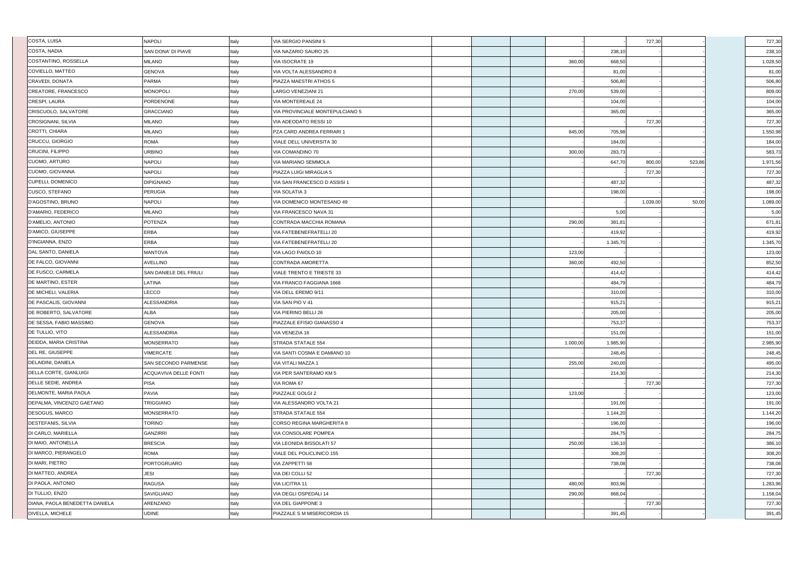| COSTA, LUISA                   | <b>NAPOLI</b>          | Italy | VIA SERGIO PANSINI 5             |  |          |          | 727,30   |        | 727,30   |
|--------------------------------|------------------------|-------|----------------------------------|--|----------|----------|----------|--------|----------|
| COSTA, NADIA                   | SAN DONA' DI PIAVE     | Italy | VIA NAZARIO SAURO 25             |  |          | 238,10   |          |        | 238,10   |
| COSTANTINO, ROSSELLA           | MILANO                 | Italy | VIA ISOCRATE 19                  |  | 360,00   | 668,50   |          |        | 1.028,50 |
| COVIELLO, MATTEO               | <b>GENOVA</b>          | Italy | VIA VOLTA ALESSANDRO 8           |  |          | 81,00    |          |        | 81,00    |
| CRAVEDI, DONATA                | PARMA                  | Italy | PIAZZA MAESTRI ATHOS 5           |  |          | 506,80   |          |        | 506,80   |
| CREATORE, FRANCESCO            | <b>MONOPOLI</b>        | Italy | LARGO VENEZIANI 21               |  | 270,00   | 539,00   |          |        | 809,00   |
| CRESPI, LAURA                  | PORDENONE              | Italy | VIA MONTEREALE 24                |  |          | 104,00   |          |        | 104,00   |
| CRISCUOLO, SALVATORE           | <b>GRACCIANO</b>       | Italy | VIA PROVINCIALE MONTEPULCIANO 5  |  |          | 365,00   |          |        | 365,00   |
| CROSIGNANI, SILVIA             | <b>MILANO</b>          | Italy | VIA ADEODATO RESSI 10            |  |          |          | 727,30   |        | 727,30   |
| CROTTI, CHIARA                 | <b>MILANO</b>          | Italy | PZA CARD ANDREA FERRARI 1        |  | 845,00   | 705,98   |          |        | 1.550,98 |
| CRUCCU, GIORGIO                | ROMA                   | Italy | VIALE DELL UNIVERSITA 30         |  |          | 184,00   |          |        | 184,00   |
| CRUCINI, FILIPPO               | URBINO                 | Italy | VIA COMANDINO 70                 |  | 300,00   | 283,73   |          |        | 583,73   |
| <b>CUOMO, ARTURO</b>           | NAPOLI                 | Italy | VIA MARIANO SEMMOLA              |  |          | 647,70   | 800,00   | 523,86 | 1.971,56 |
| CUOMO, GIOVANNA                | <b>NAPOLI</b>          | Italy | PIAZZA LUIGI MIRAGLIA 5          |  |          |          | 727,30   |        | 727,30   |
| <b>CUPELLI, DOMENICO</b>       | <b>DIPIGNANO</b>       | Italy | VIA SAN FRANCESCO D ASSISI 1     |  |          | 487,32   |          |        | 487,32   |
| <b>CUSCO, STEFANO</b>          | <b>PERUGIA</b>         | Italy | VIA SOLATIA 3                    |  |          | 198,00   |          |        | 198,00   |
| D'AGOSTINO, BRUNO              | NAPOLI                 | Italy | VIA DOMENICO MONTESANO 49        |  |          |          | 1.039,00 | 50,00  | 1.089,00 |
| D'AMARIO, FEDERICO             | <b>MILANO</b>          | Italy | VIA FRANCESCO NAVA 31            |  |          | 5,00     |          |        | 5,00     |
| D'AMELIO, ANTONIO              | <b>POTENZA</b>         | Italy | CONTRADA MACCHIA ROMANA          |  | 290,00   | 381,81   |          |        | 671,81   |
| D'AMICO, GIUSEPPE              | <b>ERBA</b>            | Italy | VIA FATEBENEFRATELLI 20          |  |          | 419,92   |          |        | 419,92   |
| D'INGIANNA, ENZO               | ERBA                   | Italy | VIA FATEBENEFRATELLI 20          |  |          | 1.345,70 |          |        | 1.345,70 |
| DAL SANTO, DANIELA             | MANTOVA                | Italy | VIA LAGO PAIOLO 10               |  | 123,00   |          |          |        | 123,00   |
| <b>DE FALCO, GIOVANNI</b>      | AVELLINO               | Italy | CONTRADA AMORETTA                |  | 360,00   | 492,50   |          |        | 852,50   |
| <b>DE FUSCO, CARMELA</b>       | SAN DANIELE DEL FRIULI | Italy | VIALE TRENTO E TRIESTE 33        |  |          | 414,42   |          |        | 414,42   |
| <b>DE MARTINO, ESTER</b>       | LATINA                 | Italy | VIA FRANCO FAGGIANA 1668         |  |          | 484,79   |          |        | 484,79   |
| <b>DE MICHELI, VALERIA</b>     | LECCO                  | Italy | VIA DELL EREMO 9/11              |  |          | 310,00   |          |        | 310,00   |
| <b>DE PASCALIS, GIOVANNI</b>   | ALESSANDRIA            | Italy | VIA SAN PIO V 41                 |  |          | 915,21   |          |        | 915,21   |
| DE ROBERTO, SALVATORE          | <b>ALBA</b>            | Italy | VIA PIERINO BELLI 26             |  |          | 205,00   |          |        | 205,00   |
| <b>DE SESSA, FABIO MASSIMO</b> | <b>GENOVA</b>          | Italy | PIAZZALE EFISIO GIANASSO 4       |  |          | 753,37   |          |        | 753,37   |
| DE TULLIO, VITO                | <b>ALESSANDRIA</b>     | Italy | VIA VENEZIA 16                   |  |          | 151,00   |          |        | 151,00   |
| DEIDDA, MARIA CRISTINA         | <b>MONSERRATO</b>      | Italy | STRADA STATALE 554               |  | 1.000,00 | 1.985,90 |          |        | 2.985,90 |
| DEL RE, GIUSEPPE               | VIMERCATE              | Italy | VIA SANTI COSMA E DAMIANO 10     |  |          | 248,45   |          |        | 248,45   |
| DELAIDINI, DANIELA             | SAN SECONDO PARMENSE   | Italy | VIA VITALI MAZZA 1               |  | 255,00   | 240,00   |          |        | 495,00   |
| DELLA CORTE, GIANLUIGI         | ACQUAVIVA DELLE FONTI  | Italy | VIA PER SANTERAMO KM 5           |  |          | 214,30   |          |        | 214,30   |
| DELLE SEDIE, ANDREA            | <b>PISA</b>            | Italy | VIA ROMA 67                      |  |          |          | 727,30   |        | 727,30   |
| DELMONTE, MARIA PAOLA          | <b>PAVIA</b>           | Italy | PIAZZALE GOLGI 2                 |  | 123,00   |          |          |        | 123,00   |
| DEPALMA, VINCENZO GAETANO      | TRIGGIANO              | Italy | VIA ALESSANDRO VOLTA 21          |  |          | 191,00   |          |        | 191,00   |
| <b>DESOGUS, MARCO</b>          | MONSERRATO             | Italy | STRADA STATALE 554               |  |          | 1.144,20 |          |        | 1.144,20 |
| DESTEFANIS, SILVIA             | <b>TORINO</b>          | Italy | <b>CORSO REGINA MARGHERITA 8</b> |  |          | 196,00   |          |        | 196,00   |
| DI CARLO, MARIELLA             | <b>GANZIRRI</b>        | Italy | VIA CONSOLARE POMPEA             |  |          | 284,75   |          |        | 284,75   |
| DI MAIO, ANTONELLA             | <b>BRESCIA</b>         | Italy | VIA LEONIDA BISSOLATI 57         |  | 250,00   | 136,10   |          |        | 386,10   |
| DI MARCO, PIERANGELO           | <b>ROMA</b>            | Italy | VIALE DEL POLICLINICO 155        |  |          | 308,20   |          |        | 308,20   |
| DI MARI, PIETRO                | PORTOGRUARO            | Italy | VIA ZAPPETTI 58                  |  |          | 738,08   |          |        | 738,08   |
| DI MATTEO, ANDREA              | <b>JESI</b>            | Italy | VIA DEI COLLI 52                 |  |          |          | 727,30   |        | 727,30   |
| <b>DI PAOLA, ANTONIO</b>       | RAGUSA                 | Italy | VIA LICITRA 11                   |  | 480,00   | 803,96   |          |        | 1.283,96 |
| DI TULLIO, ENZO                | SAVIGLIANO             | Italy | VIA DEGLI OSPEDALI 14            |  | 290,00   | 868,04   |          |        | 1.158,04 |
| DIANA, PAOLA BENEDETTA DANIELA | ARENZANO               | Italy | VIA DEL GIAPPONE 3               |  |          |          | 727,30   |        | 727,30   |
| <b>DIVELLA, MICHELE</b>        | <b>UDINE</b>           | Italy | PIAZZALE S M MISERICORDIA 15     |  |          | 391,45   |          |        | 391,45   |
|                                |                        |       |                                  |  |          |          |          |        |          |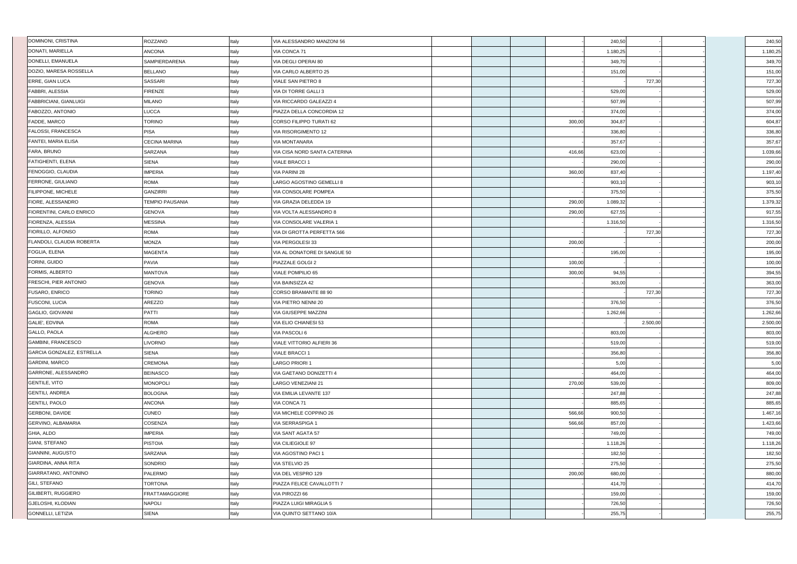| DOMINONI, CRISTINA               | ROZZANO                | Italy | VIA ALESSANDRO MANZONI 56      |  |        | 240,50   |          | 240,50   |
|----------------------------------|------------------------|-------|--------------------------------|--|--------|----------|----------|----------|
| DONATI, MARIELLA                 | <b>ANCONA</b>          | Italy | VIA CONCA 71                   |  |        | 1.180,25 |          | 1.180,25 |
| DONELLI, EMANUELA                | SAMPIERDARENA          | Italy | VIA DEGLI OPERAI 80            |  |        | 349,70   |          | 349,70   |
| DOZIO, MARESA ROSSELLA           | <b>BELLANO</b>         | Italy | VIA CARLO ALBERTO 25           |  |        | 151,00   |          | 151,00   |
| <b>ERRE, GIAN LUCA</b>           | SASSARI                | Italy | <b>VIALE SAN PIETRO 8</b>      |  |        |          | 727,30   | 727,30   |
| <b>FABBRI, ALESSIA</b>           | <b>FIRENZE</b>         | Italy | VIA DI TORRE GALLI 3           |  |        | 529,00   |          | 529,00   |
| <b>FABBRICIANI, GIANLUIGI</b>    | <b>MILANO</b>          | Italy | VIA RICCARDO GALEAZZI 4        |  |        | 507,99   |          | 507,99   |
| <b>FABOZZO, ANTONIO</b>          | <b>LUCCA</b>           | Italy | PIAZZA DELLA CONCORDIA 12      |  |        | 374,00   |          | 374,00   |
| <b>FADDE, MARCO</b>              | <b>TORINO</b>          | Italy | <b>CORSO FILIPPO TURATI 62</b> |  | 300,00 | 304,87   |          | 604,87   |
| <b>FALOSSI, FRANCESCA</b>        | <b>PISA</b>            | Italy | <b>VIA RISORGIMENTO 12</b>     |  |        | 336,80   |          | 336,80   |
| <b>FANTEI, MARIA ELISA</b>       | <b>CECINA MARINA</b>   | Italy | <b>VIA MONTANARA</b>           |  |        | 357,67   |          | 357,67   |
| <b>FARA, BRUNO</b>               | SARZANA                | Italy | VIA CISA NORD SANTA CATERINA   |  | 416,66 | 623,00   |          | 1.039,66 |
| <b>FATIGHENTI, ELENA</b>         | <b>SIENA</b>           | Italy | <b>VIALE BRACCI 1</b>          |  |        | 290,00   |          | 290,00   |
| <b>FENOGGIO, CLAUDIA</b>         | <b>IMPERIA</b>         | Italy | <b>VIA PARINI 28</b>           |  | 360,00 | 837,40   |          | 1.197,40 |
| <b>FERRONE, GIULIANO</b>         | <b>ROMA</b>            | Italy | LARGO AGOSTINO GEMELLI 8       |  |        | 903,10   |          | 903,10   |
| <b>FILIPPONE, MICHELE</b>        | <b>GANZIRRI</b>        | Italy | VIA CONSOLARE POMPEA           |  |        | 375,50   |          | 375,50   |
| <b>FIORE, ALESSANDRO</b>         | <b>TEMPIO PAUSANIA</b> | Italy | VIA GRAZIA DELEDDA 19          |  | 290,00 | 1.089,32 |          | 1.379,32 |
| <b>FIORENTINI, CARLO ENRICO</b>  | <b>GENOVA</b>          | Italy | VIA VOLTA ALESSANDRO 8         |  | 290,00 | 627,55   |          | 917,55   |
| <b>FIORENZA, ALESSIA</b>         | <b>MESSINA</b>         | Italy | VIA CONSOLARE VALERIA 1        |  |        | 1.316,50 |          | 1.316,50 |
| <b>FIORILLO, ALFONSO</b>         | <b>ROMA</b>            | Italy | VIA DI GROTTA PERFETTA 566     |  |        |          | 727,30   | 727,30   |
| <b>FLANDOLI, CLAUDIA ROBERTA</b> | <b>MONZA</b>           | Italy | VIA PERGOLESI 33               |  | 200,00 |          |          | 200,00   |
| <b>FOGLIA, ELENA</b>             | <b>MAGENTA</b>         | Italy | VIA AL DONATORE DI SANGUE 50   |  |        | 195,00   |          | 195,00   |
| FORINI, GUIDO                    | <b>PAVIA</b>           | Italy | PIAZZALE GOLGI 2               |  | 100,00 |          |          | 100,00   |
| <b>FORMIS, ALBERTO</b>           | MANTOVA                | Italy | <b>VIALE POMPILIO 65</b>       |  | 300,00 | 94,55    |          | 394,55   |
| <b>FRESCHI, PIER ANTONIO</b>     | <b>GENOVA</b>          | Italy | VIA BAINSIZZA 42               |  |        | 363,00   |          | 363,00   |
| <b>FUSARO, ENRICO</b>            | <b>TORINO</b>          | Italy | CORSO BRAMANTE 88 90           |  |        |          | 727,30   | 727,30   |
| <b>FUSCONI, LUCIA</b>            | AREZZO                 | Italy | VIA PIETRO NENNI 20            |  |        | 376,50   |          | 376,50   |
| GAGLIO, GIOVANNI                 | <b>PATTI</b>           | Italy | <b>VIA GIUSEPPE MAZZINI</b>    |  |        | 1.262,66 |          | 1.262,66 |
| GALIE', EDVINA                   | <b>ROMA</b>            | Italy | VIA ELIO CHIANESI 53           |  |        |          | 2.500,00 | 2.500,00 |
| GALLO, PAOLA                     | ALGHERO                | Italy | VIA PASCOLI 6                  |  |        | 803,00   |          | 803,00   |
| GAMBINI, FRANCESCO               | <b>LIVORNO</b>         | Italy | VIALE VITTORIO ALFIERI 36      |  |        | 519,00   |          | 519,00   |
| GARCIA GONZALEZ, ESTRELLA        | <b>SIENA</b>           | Italy | <b>VIALE BRACCI 1</b>          |  |        | 356,80   |          | 356,80   |
| GARDINI, MARCO                   | <b>CREMONA</b>         | Italy | <b>LARGO PRIORI 1</b>          |  |        | 5,00     |          | 5,00     |
| GARRONE, ALESSANDRO              | <b>BEINASCO</b>        | Italy | VIA GAETANO DONIZETTI 4        |  |        | 464,00   |          | 464,00   |
| <b>GENTILE, VITO</b>             | <b>MONOPOLI</b>        | Italy | <b>LARGO VENEZIANI 21</b>      |  | 270,00 | 539,00   |          | 809,00   |
| <b>GENTILI, ANDREA</b>           | <b>BOLOGNA</b>         | Italy | VIA EMILIA LEVANTE 137         |  |        | 247,88   |          | 247,88   |
| <b>GENTILI, PAOLO</b>            | <b>ANCONA</b>          | Italy | VIA CONCA 71                   |  |        | 885,65   |          | 885,65   |
| <b>GERBONI, DAVIDE</b>           | <b>CUNEO</b>           | Italy | VIA MICHELE COPPINO 26         |  | 566,66 | 900,50   |          | 1.467,16 |
| GERVINO, ALBAMARIA               | COSENZA                | Italy | VIA SERRASPIGA 1               |  | 566,66 | 857,00   |          | 1.423,66 |
| GHIA, ALDO                       | <b>IMPERIA</b>         | Italy | VIA SANT AGATA 57              |  |        | 749,00   |          | 749,00   |
| GIANI, STEFANO                   | <b>PISTOIA</b>         | Italy | <b>VIA CILIEGIOLE 97</b>       |  |        | 1.118,26 |          | 1.118,26 |
| GIANNINI, AUGUSTO                | SARZANA                | Italy | VIA AGOSTINO PACI 1            |  |        | 182,50   |          | 182,50   |
| GIARDINA, ANNA RITA              | <b>SONDRIO</b>         | Italy | VIA STELVIO 25                 |  |        | 275,50   |          | 275,50   |
| GIARRATANO, ANTONINO             | <b>PALERMO</b>         | Italy | VIA DEL VESPRO 129             |  | 200,00 | 680,00   |          | 880,00   |
| <b>GILI, STEFANO</b>             | <b>TORTONA</b>         | Italy | PIAZZA FELICE CAVALLOTTI 7     |  |        | 414,70   |          | 414,70   |
| <b>GILIBERTI, RUGGIERO</b>       | <b>FRATTAMAGGIORE</b>  | Italy | VIA PIROZZI 66                 |  |        | 159,00   |          | 159,00   |
| <b>GJELOSHI, KLODIAN</b>         | <b>NAPOLI</b>          | Italy | PIAZZA LUIGI MIRAGLIA 5        |  |        | 726,50   |          | 726,50   |
| GONNELLI, LETIZIA                | <b>SIENA</b>           | Italy | VIA QUINTO SETTANO 10/A        |  |        | 255,75   |          | 255,75   |
|                                  |                        |       |                                |  |        |          |          |          |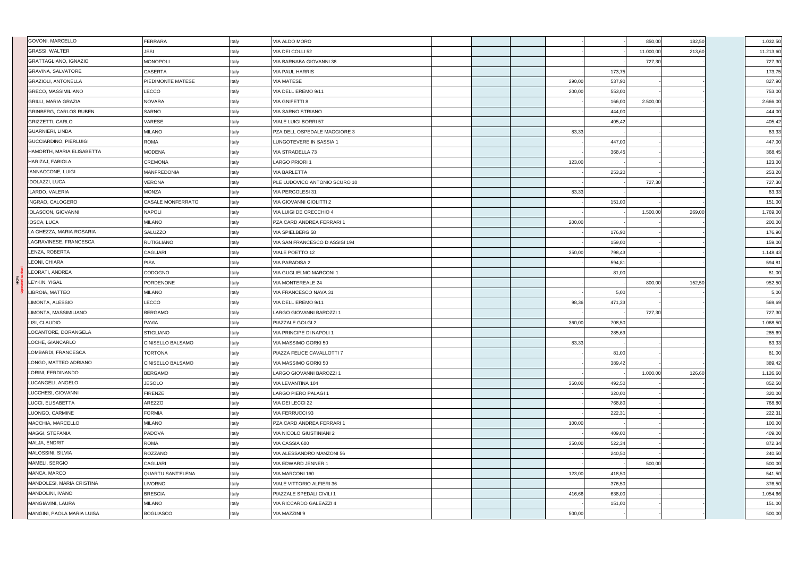| GOVONI, MARCELLO              | <b>FERRARA</b>           | Italy | VIA ALDO MORO                  |        |        | 850,00    | 182,50 | 1.032,50                                                            |
|-------------------------------|--------------------------|-------|--------------------------------|--------|--------|-----------|--------|---------------------------------------------------------------------|
| <b>GRASSI, WALTER</b>         | <b>JESI</b>              | Italy | VIA DEI COLLI 52               |        |        | 11.000,00 | 213,60 | 11.213,60                                                           |
| GRATTAGLIANO, IGNAZIO         | <b>MONOPOLI</b>          | Italy | VIA BARNABA GIOVANNI 38        |        |        | 727,30    |        | 727,30                                                              |
| <b>GRAVINA, SALVATORE</b>     | CASERTA                  | Italy | <b>VIA PAUL HARRIS</b>         |        | 173,75 |           |        | 173,75                                                              |
| <b>GRAZIOLI, ANTONELLA</b>    | PIEDIMONTE MATESE        | Italy | <b>VIA MATESE</b>              | 290,00 | 537,90 |           |        | 827,90                                                              |
| <b>GRECO, MASSIMILIANO</b>    | LECCO                    | Italy | VIA DELL EREMO 9/11            | 200,00 | 553,00 |           |        | 753,00                                                              |
| GRILLI, MARIA GRAZIA          | <b>NOVARA</b>            | Italy | VIA GNIFETTI 8                 |        | 166,00 | 2.500,00  |        | 2.666,00                                                            |
| <b>GRINBERG, CARLOS RUBEN</b> | <b>SARNO</b>             | Italy | <b>VIA SARNO STRIANO</b>       |        | 444,00 |           |        | 444,00                                                              |
| <b>GRIZZETTI, CARLO</b>       | VARESE                   | Italy | VIALE LUIGI BORRI 57           |        | 405,42 |           |        | 405,42                                                              |
| GUARNIERI, LINDA              | <b>MILANO</b>            | Italy | PZA DELL OSPEDALE MAGGIORE 3   | 83,33  |        |           |        | 83,33                                                               |
| <b>GUCCIARDINO, PIERLUIGI</b> | <b>ROMA</b>              | Italy | LUNGOTEVERE IN SASSIA 1        |        | 447,00 |           |        | 447,00                                                              |
| HAMORTH, MARIA ELISABETTA     | <b>MODENA</b>            | Italy | <b>VIA STRADELLA 73</b>        |        | 368,45 |           |        | 368,45                                                              |
| HARIZAJ, FABIOLA              | CREMONA                  | Italy | LARGO PRIORI 1                 | 123,00 |        |           |        | 123,00                                                              |
| IANNACCONE, LUIGI             | <b>MANFREDONIA</b>       | Italy | <b>VIA BARLETTA</b>            |        | 253,20 |           |        | 253,20                                                              |
| <b>IDOLAZZI, LUCA</b>         | VERONA                   | Italy | PLE LUDOVICO ANTONIO SCURO 10  |        |        | 727,30    |        | 727,30                                                              |
| ILARDO, VALERIA               | <b>MONZA</b>             | Italy | VIA PERGOLESI 31               | 83,33  |        |           |        | 83,33                                                               |
| INGRAO, CALOGERO              | <b>CASALE MONFERRATO</b> | Italy | VIA GIOVANNI GIOLITTI 2        |        | 151,00 |           |        | 151,00                                                              |
| <b>IOLASCON, GIOVANNI</b>     | <b>NAPOLI</b>            | Italy | VIA LUIGI DE CRECCHIO 4        |        |        | 1.500,00  | 269,00 | 1.769,00                                                            |
| IOSCA, LUCA                   | <b>MILANO</b>            | Italy | PZA CARD ANDREA FERRARI 1      | 200,00 |        |           |        | 200,00                                                              |
| LA GHEZZA, MARIA ROSARIA      | <b>SALUZZO</b>           | Italy | VIA SPIELBERG 58               |        | 176,90 |           |        | 176,90                                                              |
| LAGRAVINESE, FRANCESCA        | <b>RUTIGLIANO</b>        | Italy | VIA SAN FRANCESCO D ASSISI 194 |        | 159,00 |           |        | 159,00                                                              |
| LENZA, ROBERTA                | <b>CAGLIARI</b>          | Italy | <b>VIALE POETTO 12</b>         | 350,00 | 798,43 |           |        | 1.148,43                                                            |
| LEONI, CHIARA                 | <b>PISA</b>              | Italy | <b>VIA PARADISA 2</b>          |        | 594,81 |           |        | 594,81                                                              |
| LEORATI, ANDREA               | CODOGNO                  | Italy | VIA GUGLIELMO MARCONI 1        |        | 81,00  |           |        | 81,00                                                               |
| LEYKIN, YIGAL                 | PORDENONE                | Italy | VIA MONTEREALE 24              |        |        | 800,00    | 152,50 | 952,50                                                              |
|                               |                          |       |                                |        |        |           |        | 5,00                                                                |
| LIBROIA, MATTEO               | <b>MILANO</b>            | Italy | VIA FRANCESCO NAVA 31          |        | 5,00   |           |        |                                                                     |
| LIMONTA, ALESSIO              | LECCO                    | Italy | VIA DELL EREMO 9/11            | 98,36  | 471,33 |           |        |                                                                     |
| LIMONTA, MASSIMILIANO         | <b>BERGAMO</b>           | Italy | LARGO GIOVANNI BAROZZI 1       |        |        | 727,30    |        |                                                                     |
| LISI, CLAUDIO                 | PAVIA                    | Italy | PIAZZALE GOLGI 2               | 360,00 | 708,50 |           |        |                                                                     |
| LOCANTORE, DORANGELA          | <b>STIGLIANO</b>         | Italy | VIA PRINCIPE DI NAPOLI 1       |        | 285,69 |           |        |                                                                     |
| LOCHE, GIANCARLO              | <b>CINISELLO BALSAMO</b> | Italy | VIA MASSIMO GORKI 50           | 83,33  |        |           |        | 569,69<br>727,30<br>1.068,50<br>285,69<br>83,33                     |
| LOMBARDI, FRANCESCA           | TORTONA                  | Italy | PIAZZA FELICE CAVALLOTTI 7     |        | 81,00  |           |        |                                                                     |
| LONGO. MATTEO ADRIANO         | CINISELLO BALSAMO        | Italy | VIA MASSIMO GORKI 50           |        | 389,42 |           |        |                                                                     |
| LORINI, FERDINANDO            | <b>BERGAMO</b>           | Italy | LARGO GIOVANNI BAROZZI 1       |        |        | 1.000,00  | 126,60 |                                                                     |
| LUCANGELI, ANGELO             | <b>JESOLO</b>            | Italy | VIA LEVANTINA 104              | 360,00 | 492,50 |           |        |                                                                     |
| LUCCHESI, GIOVANNI            | <b>FIRENZE</b>           | Italy | LARGO PIERO PALAGI 1           |        | 320,00 |           |        |                                                                     |
| LUCCI, ELISABETTA             | AREZZO                   | Italy | VIA DEI LECCI 22               |        | 768,80 |           |        |                                                                     |
| LUONGO, CARMINE               | <b>FORMIA</b>            | Italy | <b>VIA FERRUCCI 93</b>         |        | 222,31 |           |        | 81,00<br>389,42<br>1.126,60<br>852,50<br>320,00<br>768,80<br>222,31 |
| MACCHIA, MARCELLO             | <b>MILANO</b>            | Italy | PZA CARD ANDREA FERRARI 1      | 100,00 |        |           |        |                                                                     |
| MAGGI, STEFANIA               | PADOVA                   | Italy | VIA NICOLO GIUSTINIANI 2       |        | 409,00 |           |        | 100,00<br>409,00                                                    |
| MALJA, ENDRIT                 | <b>ROMA</b>              | Italy | VIA CASSIA 600                 | 350,00 | 522,34 |           |        |                                                                     |
| MALOSSINI, SILVIA             | ROZZANO                  | Italy | VIA ALESSANDRO MANZONI 56      |        | 240,50 |           |        |                                                                     |
| MAMELI, SERGIO                | CAGLIARI                 | Italy | VIA EDWARD JENNER 1            |        |        | 500,00    |        |                                                                     |
| MANCA, MARCO                  | <b>QUARTU SANT'ELENA</b> | Italy | VIA MARCONI 160                | 123,00 | 418,50 |           |        | 872,34<br>240,50<br>500,00<br>541,50                                |
| MANDOLESI, MARIA CRISTINA     | <b>LIVORNO</b>           | Italy | VIALE VITTORIO ALFIERI 36      |        | 376,50 |           |        |                                                                     |
| MANDOLINI, IVANO              | <b>BRESCIA</b>           | Italy | PIAZZALE SPEDALI CIVILI 1      | 416,66 | 638,00 |           |        |                                                                     |
| MANGIAVINI, LAURA             | <b>MILANO</b>            | Italy | VIA RICCARDO GALEAZZI 4        |        | 151,00 |           |        |                                                                     |
| MANGINI, PAOLA MARIA LUISA    | <b>BOGLIASCO</b>         | Italy | VIA MAZZINI 9                  | 500,00 |        |           |        | 376,50<br>1.054,66<br>151,00<br>500,00                              |

**HCPs**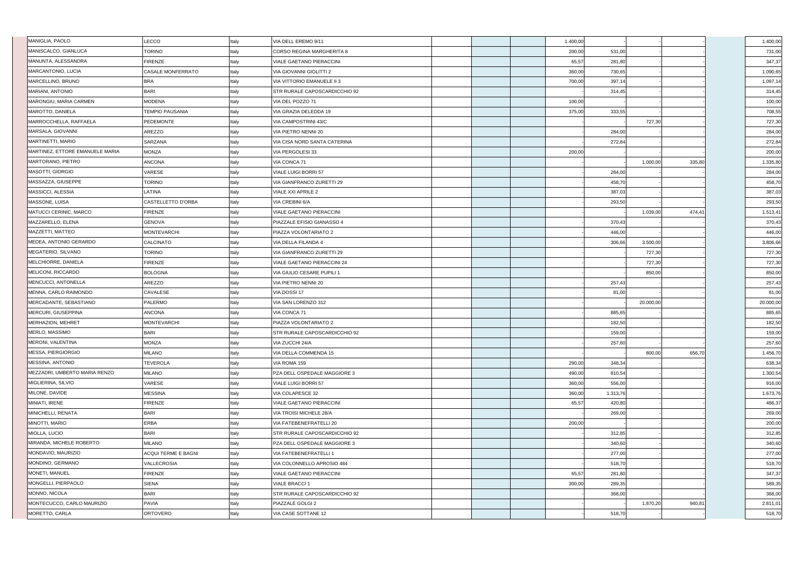| MANISCALCO, GIANLUCA<br><b>TORINO</b><br>Italy<br>CORSO REGINA MARGHERITA 8<br>200,00<br>531,00<br>MANUNTA, ALESSANDRA<br><b>FIRENZE</b><br>281,80<br>Italy<br>VIALE GAETANO PIERACCINI<br>65,57<br><b>MARCANTONIO, LUCIA</b><br><b>CASALE MONFERRATO</b><br>Italy<br>360,00<br>730,65<br><b>VIA GIOVANNI GIOLITTI 2</b><br>MARCELLINO, BRUNO<br><b>BRA</b><br>Italy<br>VIA VITTORIO EMANUELE II 3<br>700,00<br>397,14<br><b>BARI</b><br>Italy<br>STR RURALE CAPOSCARDICCHIO 92<br><b>MARIANI, ANTONIO</b><br>314,45<br>MARONGIU, MARIA CARMEN<br><b>MODENA</b><br>Italy<br>VIA DEL POZZO 71<br>100,00<br>MAROTTO, DANIELA<br><b>TEMPIO PAUSANIA</b><br>Italy<br>375,00<br>333,55<br>VIA GRAZIA DELEDDA 19<br><b>MARROCCHELLA, RAFFAELA</b><br>727,30<br>PEDEMONTE<br>Italy<br>VIA CAMPOSTRINI 43/C<br>MARSALA, GIOVANNI<br>AREZZO<br>Italy<br>VIA PIETRO NENNI 20<br>284,00<br>MARTINETTI, MARIO<br>SARZANA<br>272,84<br>Italy<br>VIA CISA NORD SANTA CATERINA<br>MARTINEZ, ETTORE EMANUELE MARIA<br>MONZA<br>VIA PERGOLESI 33<br>Italy<br>200,00<br>MARTORANO, PIETRO<br>VIA CONCA 71<br>1.000,00<br>335,80<br><b>ANCONA</b><br>Italy<br>MASOTTI, GIORGIO<br>VARESE<br>Italy<br><b>VIALE LUIGI BORRI 57</b><br>284,00<br>MASSAZZA, GIUSEPPE<br><b>TORINO</b><br>Italy<br>458,70<br>VIA GIANFRANCO ZURETTI 29<br>MASSICCI, ALESSIA<br>LATINA<br>Italy<br>VIALE XXI APRILE 2<br>387,03<br>MASSONE, LUISA<br>CASTELLETTO D'ORBA<br>Italy<br>VIA CREBINI 6/A<br>293,50<br>MATUCCI CERINIC, MARCO<br><b>FIRENZE</b><br>VIALE GAETANO PIERACCINI<br>Italy<br>1.039,00<br>474,41<br>MAZZARELLO, ELENA<br><b>GENOVA</b><br>Italy<br>PIAZZALE EFISIO GIANASSO 4<br>370,43<br>MAZZETTI, MATTEO<br><b>MONTEVARCHI</b><br>446,00<br>Italy<br>PIAZZA VOLONTARIATO 2<br>MEDEA, ANTONIO GERARDO<br>CALCINATO<br>Italy<br>306,66<br>3.500,00<br>VIA DELLA FILANDA 4<br>MEGATERIO, SILVANO<br><b>TORINO</b><br>727,30<br>Italy<br>VIA GIANFRANCO ZURETTI 29<br>MELCHIORRE, DANIELA<br><b>FIRENZE</b><br>727,30<br>Italy<br>VIALE GAETANO PIERACCINI 24<br>MELICONI, RICCARDO<br><b>BOLOGNA</b><br>Italy<br>VIA GIULIO CESARE PUPILI 1<br>850,00<br><b>MENCUCCI, ANTONELLA</b><br>AREZZO<br>VIA PIETRO NENNI 20<br>257,43<br>Italy<br>MENNA, CARLO RAIMONDO<br>CAVALESE<br>VIA DOSSI 17<br>81,00<br>Italy<br>MERCADANTE, SEBASTIANO<br><b>PALERMO</b><br>Italy<br>VIA SAN LORENZO 312<br>20.000,00<br><b>MERCURI, GIUSEPPINA</b><br><b>ANCONA</b><br>VIA CONCA 71<br>885,65<br>Italy<br>MERHAZION, MEHRET<br><b>MONTEVARCHI</b><br>PIAZZA VOLONTARIATO 2<br>182,50<br>Italy<br>MERLO, MASSIMO<br><b>BARI</b><br>159,00<br>STR RURALE CAPOSCARDICCHIO 92<br>Italy<br>MERONI, VALENTINA<br><b>MONZA</b><br>Italy<br>VIA ZUCCHI 24/A<br>257,60<br>MESSA, PIERGIORGIO<br><b>MILANO</b><br>Italy<br>VIA DELLA COMMENDA 15<br>800,00<br>656,70<br>MESSINA, ANTONIO<br><b>TEVEROLA</b><br>Italy<br>VIA ROMA 159<br>290,00<br>348,34<br>MEZZADRI. UMBERTO MARIA RENZO<br><b>MILANO</b><br>Italy<br>490,00<br>810,54<br>PZA DELL OSPEDALE MAGGIORE 3<br>MIGLIERINA, SILVIO<br>VARESE<br>Italy<br>360,00<br>556,00<br>VIALE LUIGI BORRI 57<br>MILONE, DAVIDE<br><b>MESSINA</b><br>Italy<br>VIA COLAPESCE 32<br>360,00<br>1.313,76<br>MINIATI, IRENE<br><b>FIRENZE</b><br>Italy<br>65,57<br>420,80<br><b>VIALE GAETANO PIERACCINI</b><br><b>BARI</b><br>MINICHELLI, RENATA<br>Italy<br>VIA TROISI MICHELE 28/A<br>269,00<br>MINOTTI, MARIO<br><b>ERBA</b><br>Italy<br>VIA FATEBENEFRATELLI 20<br>200,00<br>MIOLLA, LUCIO<br><b>BARI</b><br>Italy<br>312,85<br>STR RURALE CAPOSCARDICCHIO 92<br>MIRANDA, MICHELE ROBERTO<br><b>MILANO</b><br>Italy<br>340,60<br>PZA DELL OSPEDALE MAGGIORE 3<br>MONDAVIO, MAURIZIO<br>ACQUI TERME E BAGNI<br>Italy<br>277,00<br>VIA FATEBENEFRATELLI 1<br>MONDINO, GERMANO<br>VALLECROSIA<br>Italy<br>VIA COLONNELLO APROSIO 484<br>518,70<br>FIRENZE<br>MONETI, MANUEL<br>Italy<br>VIALE GAETANO PIERACCINI<br>65,57<br>281,80<br>MONGELLI, PIERPAOLO<br><b>SIENA</b><br>Italy<br><b>VIALE BRACCI1</b><br>300,00<br>289,35<br>MONNO, NICOLA<br><b>BARI</b><br>Italy<br>STR RURALE CAPOSCARDICCHIO 92<br>368,00<br>MONTECUCCO, CARLO MAURIZIO<br>1.870,20<br>PAVIA<br>Italy<br>PIAZZALE GOLGI 2<br>940,81<br>MORETTO, CARLA<br>ORTOVERO<br>Italy<br>VIA CASE SOTTANE 12<br>518,70 | MANIGLIA, PAOLO | LECCO | Italy | VIA DELL EREMO 9/11 |  | 1.400,00 |  | 1.400,00  |
|---------------------------------------------------------------------------------------------------------------------------------------------------------------------------------------------------------------------------------------------------------------------------------------------------------------------------------------------------------------------------------------------------------------------------------------------------------------------------------------------------------------------------------------------------------------------------------------------------------------------------------------------------------------------------------------------------------------------------------------------------------------------------------------------------------------------------------------------------------------------------------------------------------------------------------------------------------------------------------------------------------------------------------------------------------------------------------------------------------------------------------------------------------------------------------------------------------------------------------------------------------------------------------------------------------------------------------------------------------------------------------------------------------------------------------------------------------------------------------------------------------------------------------------------------------------------------------------------------------------------------------------------------------------------------------------------------------------------------------------------------------------------------------------------------------------------------------------------------------------------------------------------------------------------------------------------------------------------------------------------------------------------------------------------------------------------------------------------------------------------------------------------------------------------------------------------------------------------------------------------------------------------------------------------------------------------------------------------------------------------------------------------------------------------------------------------------------------------------------------------------------------------------------------------------------------------------------------------------------------------------------------------------------------------------------------------------------------------------------------------------------------------------------------------------------------------------------------------------------------------------------------------------------------------------------------------------------------------------------------------------------------------------------------------------------------------------------------------------------------------------------------------------------------------------------------------------------------------------------------------------------------------------------------------------------------------------------------------------------------------------------------------------------------------------------------------------------------------------------------------------------------------------------------------------------------------------------------------------------------------------------------------------------------------------------------------------------------------------------------------------------------------------------------------------------------------------------------------------------------------------------------------------------------------------------------------------------------------------------------------------------------------------------------------------------------------------------------------------------------------------------------------------------------------------------------------------------------------------------------------------------------------------------------|-----------------|-------|-------|---------------------|--|----------|--|-----------|
|                                                                                                                                                                                                                                                                                                                                                                                                                                                                                                                                                                                                                                                                                                                                                                                                                                                                                                                                                                                                                                                                                                                                                                                                                                                                                                                                                                                                                                                                                                                                                                                                                                                                                                                                                                                                                                                                                                                                                                                                                                                                                                                                                                                                                                                                                                                                                                                                                                                                                                                                                                                                                                                                                                                                                                                                                                                                                                                                                                                                                                                                                                                                                                                                                                                                                                                                                                                                                                                                                                                                                                                                                                                                                                                                                                                                                                                                                                                                                                                                                                                                                                                                                                                                                                                                                       |                 |       |       |                     |  |          |  | 731,00    |
|                                                                                                                                                                                                                                                                                                                                                                                                                                                                                                                                                                                                                                                                                                                                                                                                                                                                                                                                                                                                                                                                                                                                                                                                                                                                                                                                                                                                                                                                                                                                                                                                                                                                                                                                                                                                                                                                                                                                                                                                                                                                                                                                                                                                                                                                                                                                                                                                                                                                                                                                                                                                                                                                                                                                                                                                                                                                                                                                                                                                                                                                                                                                                                                                                                                                                                                                                                                                                                                                                                                                                                                                                                                                                                                                                                                                                                                                                                                                                                                                                                                                                                                                                                                                                                                                                       |                 |       |       |                     |  |          |  | 347,37    |
|                                                                                                                                                                                                                                                                                                                                                                                                                                                                                                                                                                                                                                                                                                                                                                                                                                                                                                                                                                                                                                                                                                                                                                                                                                                                                                                                                                                                                                                                                                                                                                                                                                                                                                                                                                                                                                                                                                                                                                                                                                                                                                                                                                                                                                                                                                                                                                                                                                                                                                                                                                                                                                                                                                                                                                                                                                                                                                                                                                                                                                                                                                                                                                                                                                                                                                                                                                                                                                                                                                                                                                                                                                                                                                                                                                                                                                                                                                                                                                                                                                                                                                                                                                                                                                                                                       |                 |       |       |                     |  |          |  | 1.090,65  |
|                                                                                                                                                                                                                                                                                                                                                                                                                                                                                                                                                                                                                                                                                                                                                                                                                                                                                                                                                                                                                                                                                                                                                                                                                                                                                                                                                                                                                                                                                                                                                                                                                                                                                                                                                                                                                                                                                                                                                                                                                                                                                                                                                                                                                                                                                                                                                                                                                                                                                                                                                                                                                                                                                                                                                                                                                                                                                                                                                                                                                                                                                                                                                                                                                                                                                                                                                                                                                                                                                                                                                                                                                                                                                                                                                                                                                                                                                                                                                                                                                                                                                                                                                                                                                                                                                       |                 |       |       |                     |  |          |  | 1.097,14  |
|                                                                                                                                                                                                                                                                                                                                                                                                                                                                                                                                                                                                                                                                                                                                                                                                                                                                                                                                                                                                                                                                                                                                                                                                                                                                                                                                                                                                                                                                                                                                                                                                                                                                                                                                                                                                                                                                                                                                                                                                                                                                                                                                                                                                                                                                                                                                                                                                                                                                                                                                                                                                                                                                                                                                                                                                                                                                                                                                                                                                                                                                                                                                                                                                                                                                                                                                                                                                                                                                                                                                                                                                                                                                                                                                                                                                                                                                                                                                                                                                                                                                                                                                                                                                                                                                                       |                 |       |       |                     |  |          |  | 314,45    |
|                                                                                                                                                                                                                                                                                                                                                                                                                                                                                                                                                                                                                                                                                                                                                                                                                                                                                                                                                                                                                                                                                                                                                                                                                                                                                                                                                                                                                                                                                                                                                                                                                                                                                                                                                                                                                                                                                                                                                                                                                                                                                                                                                                                                                                                                                                                                                                                                                                                                                                                                                                                                                                                                                                                                                                                                                                                                                                                                                                                                                                                                                                                                                                                                                                                                                                                                                                                                                                                                                                                                                                                                                                                                                                                                                                                                                                                                                                                                                                                                                                                                                                                                                                                                                                                                                       |                 |       |       |                     |  |          |  | 100,00    |
|                                                                                                                                                                                                                                                                                                                                                                                                                                                                                                                                                                                                                                                                                                                                                                                                                                                                                                                                                                                                                                                                                                                                                                                                                                                                                                                                                                                                                                                                                                                                                                                                                                                                                                                                                                                                                                                                                                                                                                                                                                                                                                                                                                                                                                                                                                                                                                                                                                                                                                                                                                                                                                                                                                                                                                                                                                                                                                                                                                                                                                                                                                                                                                                                                                                                                                                                                                                                                                                                                                                                                                                                                                                                                                                                                                                                                                                                                                                                                                                                                                                                                                                                                                                                                                                                                       |                 |       |       |                     |  |          |  | 708,55    |
|                                                                                                                                                                                                                                                                                                                                                                                                                                                                                                                                                                                                                                                                                                                                                                                                                                                                                                                                                                                                                                                                                                                                                                                                                                                                                                                                                                                                                                                                                                                                                                                                                                                                                                                                                                                                                                                                                                                                                                                                                                                                                                                                                                                                                                                                                                                                                                                                                                                                                                                                                                                                                                                                                                                                                                                                                                                                                                                                                                                                                                                                                                                                                                                                                                                                                                                                                                                                                                                                                                                                                                                                                                                                                                                                                                                                                                                                                                                                                                                                                                                                                                                                                                                                                                                                                       |                 |       |       |                     |  |          |  | 727,30    |
|                                                                                                                                                                                                                                                                                                                                                                                                                                                                                                                                                                                                                                                                                                                                                                                                                                                                                                                                                                                                                                                                                                                                                                                                                                                                                                                                                                                                                                                                                                                                                                                                                                                                                                                                                                                                                                                                                                                                                                                                                                                                                                                                                                                                                                                                                                                                                                                                                                                                                                                                                                                                                                                                                                                                                                                                                                                                                                                                                                                                                                                                                                                                                                                                                                                                                                                                                                                                                                                                                                                                                                                                                                                                                                                                                                                                                                                                                                                                                                                                                                                                                                                                                                                                                                                                                       |                 |       |       |                     |  |          |  | 284,00    |
|                                                                                                                                                                                                                                                                                                                                                                                                                                                                                                                                                                                                                                                                                                                                                                                                                                                                                                                                                                                                                                                                                                                                                                                                                                                                                                                                                                                                                                                                                                                                                                                                                                                                                                                                                                                                                                                                                                                                                                                                                                                                                                                                                                                                                                                                                                                                                                                                                                                                                                                                                                                                                                                                                                                                                                                                                                                                                                                                                                                                                                                                                                                                                                                                                                                                                                                                                                                                                                                                                                                                                                                                                                                                                                                                                                                                                                                                                                                                                                                                                                                                                                                                                                                                                                                                                       |                 |       |       |                     |  |          |  | 272,84    |
|                                                                                                                                                                                                                                                                                                                                                                                                                                                                                                                                                                                                                                                                                                                                                                                                                                                                                                                                                                                                                                                                                                                                                                                                                                                                                                                                                                                                                                                                                                                                                                                                                                                                                                                                                                                                                                                                                                                                                                                                                                                                                                                                                                                                                                                                                                                                                                                                                                                                                                                                                                                                                                                                                                                                                                                                                                                                                                                                                                                                                                                                                                                                                                                                                                                                                                                                                                                                                                                                                                                                                                                                                                                                                                                                                                                                                                                                                                                                                                                                                                                                                                                                                                                                                                                                                       |                 |       |       |                     |  |          |  | 200,00    |
|                                                                                                                                                                                                                                                                                                                                                                                                                                                                                                                                                                                                                                                                                                                                                                                                                                                                                                                                                                                                                                                                                                                                                                                                                                                                                                                                                                                                                                                                                                                                                                                                                                                                                                                                                                                                                                                                                                                                                                                                                                                                                                                                                                                                                                                                                                                                                                                                                                                                                                                                                                                                                                                                                                                                                                                                                                                                                                                                                                                                                                                                                                                                                                                                                                                                                                                                                                                                                                                                                                                                                                                                                                                                                                                                                                                                                                                                                                                                                                                                                                                                                                                                                                                                                                                                                       |                 |       |       |                     |  |          |  | 1.335,80  |
|                                                                                                                                                                                                                                                                                                                                                                                                                                                                                                                                                                                                                                                                                                                                                                                                                                                                                                                                                                                                                                                                                                                                                                                                                                                                                                                                                                                                                                                                                                                                                                                                                                                                                                                                                                                                                                                                                                                                                                                                                                                                                                                                                                                                                                                                                                                                                                                                                                                                                                                                                                                                                                                                                                                                                                                                                                                                                                                                                                                                                                                                                                                                                                                                                                                                                                                                                                                                                                                                                                                                                                                                                                                                                                                                                                                                                                                                                                                                                                                                                                                                                                                                                                                                                                                                                       |                 |       |       |                     |  |          |  | 284,00    |
|                                                                                                                                                                                                                                                                                                                                                                                                                                                                                                                                                                                                                                                                                                                                                                                                                                                                                                                                                                                                                                                                                                                                                                                                                                                                                                                                                                                                                                                                                                                                                                                                                                                                                                                                                                                                                                                                                                                                                                                                                                                                                                                                                                                                                                                                                                                                                                                                                                                                                                                                                                                                                                                                                                                                                                                                                                                                                                                                                                                                                                                                                                                                                                                                                                                                                                                                                                                                                                                                                                                                                                                                                                                                                                                                                                                                                                                                                                                                                                                                                                                                                                                                                                                                                                                                                       |                 |       |       |                     |  |          |  | 458,70    |
|                                                                                                                                                                                                                                                                                                                                                                                                                                                                                                                                                                                                                                                                                                                                                                                                                                                                                                                                                                                                                                                                                                                                                                                                                                                                                                                                                                                                                                                                                                                                                                                                                                                                                                                                                                                                                                                                                                                                                                                                                                                                                                                                                                                                                                                                                                                                                                                                                                                                                                                                                                                                                                                                                                                                                                                                                                                                                                                                                                                                                                                                                                                                                                                                                                                                                                                                                                                                                                                                                                                                                                                                                                                                                                                                                                                                                                                                                                                                                                                                                                                                                                                                                                                                                                                                                       |                 |       |       |                     |  |          |  | 387,03    |
|                                                                                                                                                                                                                                                                                                                                                                                                                                                                                                                                                                                                                                                                                                                                                                                                                                                                                                                                                                                                                                                                                                                                                                                                                                                                                                                                                                                                                                                                                                                                                                                                                                                                                                                                                                                                                                                                                                                                                                                                                                                                                                                                                                                                                                                                                                                                                                                                                                                                                                                                                                                                                                                                                                                                                                                                                                                                                                                                                                                                                                                                                                                                                                                                                                                                                                                                                                                                                                                                                                                                                                                                                                                                                                                                                                                                                                                                                                                                                                                                                                                                                                                                                                                                                                                                                       |                 |       |       |                     |  |          |  | 293,50    |
|                                                                                                                                                                                                                                                                                                                                                                                                                                                                                                                                                                                                                                                                                                                                                                                                                                                                                                                                                                                                                                                                                                                                                                                                                                                                                                                                                                                                                                                                                                                                                                                                                                                                                                                                                                                                                                                                                                                                                                                                                                                                                                                                                                                                                                                                                                                                                                                                                                                                                                                                                                                                                                                                                                                                                                                                                                                                                                                                                                                                                                                                                                                                                                                                                                                                                                                                                                                                                                                                                                                                                                                                                                                                                                                                                                                                                                                                                                                                                                                                                                                                                                                                                                                                                                                                                       |                 |       |       |                     |  |          |  | 1.513,41  |
|                                                                                                                                                                                                                                                                                                                                                                                                                                                                                                                                                                                                                                                                                                                                                                                                                                                                                                                                                                                                                                                                                                                                                                                                                                                                                                                                                                                                                                                                                                                                                                                                                                                                                                                                                                                                                                                                                                                                                                                                                                                                                                                                                                                                                                                                                                                                                                                                                                                                                                                                                                                                                                                                                                                                                                                                                                                                                                                                                                                                                                                                                                                                                                                                                                                                                                                                                                                                                                                                                                                                                                                                                                                                                                                                                                                                                                                                                                                                                                                                                                                                                                                                                                                                                                                                                       |                 |       |       |                     |  |          |  | 370,43    |
|                                                                                                                                                                                                                                                                                                                                                                                                                                                                                                                                                                                                                                                                                                                                                                                                                                                                                                                                                                                                                                                                                                                                                                                                                                                                                                                                                                                                                                                                                                                                                                                                                                                                                                                                                                                                                                                                                                                                                                                                                                                                                                                                                                                                                                                                                                                                                                                                                                                                                                                                                                                                                                                                                                                                                                                                                                                                                                                                                                                                                                                                                                                                                                                                                                                                                                                                                                                                                                                                                                                                                                                                                                                                                                                                                                                                                                                                                                                                                                                                                                                                                                                                                                                                                                                                                       |                 |       |       |                     |  |          |  | 446,00    |
|                                                                                                                                                                                                                                                                                                                                                                                                                                                                                                                                                                                                                                                                                                                                                                                                                                                                                                                                                                                                                                                                                                                                                                                                                                                                                                                                                                                                                                                                                                                                                                                                                                                                                                                                                                                                                                                                                                                                                                                                                                                                                                                                                                                                                                                                                                                                                                                                                                                                                                                                                                                                                                                                                                                                                                                                                                                                                                                                                                                                                                                                                                                                                                                                                                                                                                                                                                                                                                                                                                                                                                                                                                                                                                                                                                                                                                                                                                                                                                                                                                                                                                                                                                                                                                                                                       |                 |       |       |                     |  |          |  | 3.806,66  |
|                                                                                                                                                                                                                                                                                                                                                                                                                                                                                                                                                                                                                                                                                                                                                                                                                                                                                                                                                                                                                                                                                                                                                                                                                                                                                                                                                                                                                                                                                                                                                                                                                                                                                                                                                                                                                                                                                                                                                                                                                                                                                                                                                                                                                                                                                                                                                                                                                                                                                                                                                                                                                                                                                                                                                                                                                                                                                                                                                                                                                                                                                                                                                                                                                                                                                                                                                                                                                                                                                                                                                                                                                                                                                                                                                                                                                                                                                                                                                                                                                                                                                                                                                                                                                                                                                       |                 |       |       |                     |  |          |  | 727,30    |
|                                                                                                                                                                                                                                                                                                                                                                                                                                                                                                                                                                                                                                                                                                                                                                                                                                                                                                                                                                                                                                                                                                                                                                                                                                                                                                                                                                                                                                                                                                                                                                                                                                                                                                                                                                                                                                                                                                                                                                                                                                                                                                                                                                                                                                                                                                                                                                                                                                                                                                                                                                                                                                                                                                                                                                                                                                                                                                                                                                                                                                                                                                                                                                                                                                                                                                                                                                                                                                                                                                                                                                                                                                                                                                                                                                                                                                                                                                                                                                                                                                                                                                                                                                                                                                                                                       |                 |       |       |                     |  |          |  | 727,30    |
|                                                                                                                                                                                                                                                                                                                                                                                                                                                                                                                                                                                                                                                                                                                                                                                                                                                                                                                                                                                                                                                                                                                                                                                                                                                                                                                                                                                                                                                                                                                                                                                                                                                                                                                                                                                                                                                                                                                                                                                                                                                                                                                                                                                                                                                                                                                                                                                                                                                                                                                                                                                                                                                                                                                                                                                                                                                                                                                                                                                                                                                                                                                                                                                                                                                                                                                                                                                                                                                                                                                                                                                                                                                                                                                                                                                                                                                                                                                                                                                                                                                                                                                                                                                                                                                                                       |                 |       |       |                     |  |          |  | 850,00    |
|                                                                                                                                                                                                                                                                                                                                                                                                                                                                                                                                                                                                                                                                                                                                                                                                                                                                                                                                                                                                                                                                                                                                                                                                                                                                                                                                                                                                                                                                                                                                                                                                                                                                                                                                                                                                                                                                                                                                                                                                                                                                                                                                                                                                                                                                                                                                                                                                                                                                                                                                                                                                                                                                                                                                                                                                                                                                                                                                                                                                                                                                                                                                                                                                                                                                                                                                                                                                                                                                                                                                                                                                                                                                                                                                                                                                                                                                                                                                                                                                                                                                                                                                                                                                                                                                                       |                 |       |       |                     |  |          |  | 257,43    |
|                                                                                                                                                                                                                                                                                                                                                                                                                                                                                                                                                                                                                                                                                                                                                                                                                                                                                                                                                                                                                                                                                                                                                                                                                                                                                                                                                                                                                                                                                                                                                                                                                                                                                                                                                                                                                                                                                                                                                                                                                                                                                                                                                                                                                                                                                                                                                                                                                                                                                                                                                                                                                                                                                                                                                                                                                                                                                                                                                                                                                                                                                                                                                                                                                                                                                                                                                                                                                                                                                                                                                                                                                                                                                                                                                                                                                                                                                                                                                                                                                                                                                                                                                                                                                                                                                       |                 |       |       |                     |  |          |  | 81,00     |
|                                                                                                                                                                                                                                                                                                                                                                                                                                                                                                                                                                                                                                                                                                                                                                                                                                                                                                                                                                                                                                                                                                                                                                                                                                                                                                                                                                                                                                                                                                                                                                                                                                                                                                                                                                                                                                                                                                                                                                                                                                                                                                                                                                                                                                                                                                                                                                                                                                                                                                                                                                                                                                                                                                                                                                                                                                                                                                                                                                                                                                                                                                                                                                                                                                                                                                                                                                                                                                                                                                                                                                                                                                                                                                                                                                                                                                                                                                                                                                                                                                                                                                                                                                                                                                                                                       |                 |       |       |                     |  |          |  | 20.000,00 |
|                                                                                                                                                                                                                                                                                                                                                                                                                                                                                                                                                                                                                                                                                                                                                                                                                                                                                                                                                                                                                                                                                                                                                                                                                                                                                                                                                                                                                                                                                                                                                                                                                                                                                                                                                                                                                                                                                                                                                                                                                                                                                                                                                                                                                                                                                                                                                                                                                                                                                                                                                                                                                                                                                                                                                                                                                                                                                                                                                                                                                                                                                                                                                                                                                                                                                                                                                                                                                                                                                                                                                                                                                                                                                                                                                                                                                                                                                                                                                                                                                                                                                                                                                                                                                                                                                       |                 |       |       |                     |  |          |  | 885,65    |
|                                                                                                                                                                                                                                                                                                                                                                                                                                                                                                                                                                                                                                                                                                                                                                                                                                                                                                                                                                                                                                                                                                                                                                                                                                                                                                                                                                                                                                                                                                                                                                                                                                                                                                                                                                                                                                                                                                                                                                                                                                                                                                                                                                                                                                                                                                                                                                                                                                                                                                                                                                                                                                                                                                                                                                                                                                                                                                                                                                                                                                                                                                                                                                                                                                                                                                                                                                                                                                                                                                                                                                                                                                                                                                                                                                                                                                                                                                                                                                                                                                                                                                                                                                                                                                                                                       |                 |       |       |                     |  |          |  | 182,50    |
|                                                                                                                                                                                                                                                                                                                                                                                                                                                                                                                                                                                                                                                                                                                                                                                                                                                                                                                                                                                                                                                                                                                                                                                                                                                                                                                                                                                                                                                                                                                                                                                                                                                                                                                                                                                                                                                                                                                                                                                                                                                                                                                                                                                                                                                                                                                                                                                                                                                                                                                                                                                                                                                                                                                                                                                                                                                                                                                                                                                                                                                                                                                                                                                                                                                                                                                                                                                                                                                                                                                                                                                                                                                                                                                                                                                                                                                                                                                                                                                                                                                                                                                                                                                                                                                                                       |                 |       |       |                     |  |          |  | 159,00    |
|                                                                                                                                                                                                                                                                                                                                                                                                                                                                                                                                                                                                                                                                                                                                                                                                                                                                                                                                                                                                                                                                                                                                                                                                                                                                                                                                                                                                                                                                                                                                                                                                                                                                                                                                                                                                                                                                                                                                                                                                                                                                                                                                                                                                                                                                                                                                                                                                                                                                                                                                                                                                                                                                                                                                                                                                                                                                                                                                                                                                                                                                                                                                                                                                                                                                                                                                                                                                                                                                                                                                                                                                                                                                                                                                                                                                                                                                                                                                                                                                                                                                                                                                                                                                                                                                                       |                 |       |       |                     |  |          |  | 257,60    |
|                                                                                                                                                                                                                                                                                                                                                                                                                                                                                                                                                                                                                                                                                                                                                                                                                                                                                                                                                                                                                                                                                                                                                                                                                                                                                                                                                                                                                                                                                                                                                                                                                                                                                                                                                                                                                                                                                                                                                                                                                                                                                                                                                                                                                                                                                                                                                                                                                                                                                                                                                                                                                                                                                                                                                                                                                                                                                                                                                                                                                                                                                                                                                                                                                                                                                                                                                                                                                                                                                                                                                                                                                                                                                                                                                                                                                                                                                                                                                                                                                                                                                                                                                                                                                                                                                       |                 |       |       |                     |  |          |  | 1.456,70  |
|                                                                                                                                                                                                                                                                                                                                                                                                                                                                                                                                                                                                                                                                                                                                                                                                                                                                                                                                                                                                                                                                                                                                                                                                                                                                                                                                                                                                                                                                                                                                                                                                                                                                                                                                                                                                                                                                                                                                                                                                                                                                                                                                                                                                                                                                                                                                                                                                                                                                                                                                                                                                                                                                                                                                                                                                                                                                                                                                                                                                                                                                                                                                                                                                                                                                                                                                                                                                                                                                                                                                                                                                                                                                                                                                                                                                                                                                                                                                                                                                                                                                                                                                                                                                                                                                                       |                 |       |       |                     |  |          |  | 638,34    |
|                                                                                                                                                                                                                                                                                                                                                                                                                                                                                                                                                                                                                                                                                                                                                                                                                                                                                                                                                                                                                                                                                                                                                                                                                                                                                                                                                                                                                                                                                                                                                                                                                                                                                                                                                                                                                                                                                                                                                                                                                                                                                                                                                                                                                                                                                                                                                                                                                                                                                                                                                                                                                                                                                                                                                                                                                                                                                                                                                                                                                                                                                                                                                                                                                                                                                                                                                                                                                                                                                                                                                                                                                                                                                                                                                                                                                                                                                                                                                                                                                                                                                                                                                                                                                                                                                       |                 |       |       |                     |  |          |  | 1.300,54  |
|                                                                                                                                                                                                                                                                                                                                                                                                                                                                                                                                                                                                                                                                                                                                                                                                                                                                                                                                                                                                                                                                                                                                                                                                                                                                                                                                                                                                                                                                                                                                                                                                                                                                                                                                                                                                                                                                                                                                                                                                                                                                                                                                                                                                                                                                                                                                                                                                                                                                                                                                                                                                                                                                                                                                                                                                                                                                                                                                                                                                                                                                                                                                                                                                                                                                                                                                                                                                                                                                                                                                                                                                                                                                                                                                                                                                                                                                                                                                                                                                                                                                                                                                                                                                                                                                                       |                 |       |       |                     |  |          |  | 916,00    |
|                                                                                                                                                                                                                                                                                                                                                                                                                                                                                                                                                                                                                                                                                                                                                                                                                                                                                                                                                                                                                                                                                                                                                                                                                                                                                                                                                                                                                                                                                                                                                                                                                                                                                                                                                                                                                                                                                                                                                                                                                                                                                                                                                                                                                                                                                                                                                                                                                                                                                                                                                                                                                                                                                                                                                                                                                                                                                                                                                                                                                                                                                                                                                                                                                                                                                                                                                                                                                                                                                                                                                                                                                                                                                                                                                                                                                                                                                                                                                                                                                                                                                                                                                                                                                                                                                       |                 |       |       |                     |  |          |  | 1.673,76  |
|                                                                                                                                                                                                                                                                                                                                                                                                                                                                                                                                                                                                                                                                                                                                                                                                                                                                                                                                                                                                                                                                                                                                                                                                                                                                                                                                                                                                                                                                                                                                                                                                                                                                                                                                                                                                                                                                                                                                                                                                                                                                                                                                                                                                                                                                                                                                                                                                                                                                                                                                                                                                                                                                                                                                                                                                                                                                                                                                                                                                                                                                                                                                                                                                                                                                                                                                                                                                                                                                                                                                                                                                                                                                                                                                                                                                                                                                                                                                                                                                                                                                                                                                                                                                                                                                                       |                 |       |       |                     |  |          |  | 486,37    |
|                                                                                                                                                                                                                                                                                                                                                                                                                                                                                                                                                                                                                                                                                                                                                                                                                                                                                                                                                                                                                                                                                                                                                                                                                                                                                                                                                                                                                                                                                                                                                                                                                                                                                                                                                                                                                                                                                                                                                                                                                                                                                                                                                                                                                                                                                                                                                                                                                                                                                                                                                                                                                                                                                                                                                                                                                                                                                                                                                                                                                                                                                                                                                                                                                                                                                                                                                                                                                                                                                                                                                                                                                                                                                                                                                                                                                                                                                                                                                                                                                                                                                                                                                                                                                                                                                       |                 |       |       |                     |  |          |  | 269,00    |
|                                                                                                                                                                                                                                                                                                                                                                                                                                                                                                                                                                                                                                                                                                                                                                                                                                                                                                                                                                                                                                                                                                                                                                                                                                                                                                                                                                                                                                                                                                                                                                                                                                                                                                                                                                                                                                                                                                                                                                                                                                                                                                                                                                                                                                                                                                                                                                                                                                                                                                                                                                                                                                                                                                                                                                                                                                                                                                                                                                                                                                                                                                                                                                                                                                                                                                                                                                                                                                                                                                                                                                                                                                                                                                                                                                                                                                                                                                                                                                                                                                                                                                                                                                                                                                                                                       |                 |       |       |                     |  |          |  | 200,00    |
|                                                                                                                                                                                                                                                                                                                                                                                                                                                                                                                                                                                                                                                                                                                                                                                                                                                                                                                                                                                                                                                                                                                                                                                                                                                                                                                                                                                                                                                                                                                                                                                                                                                                                                                                                                                                                                                                                                                                                                                                                                                                                                                                                                                                                                                                                                                                                                                                                                                                                                                                                                                                                                                                                                                                                                                                                                                                                                                                                                                                                                                                                                                                                                                                                                                                                                                                                                                                                                                                                                                                                                                                                                                                                                                                                                                                                                                                                                                                                                                                                                                                                                                                                                                                                                                                                       |                 |       |       |                     |  |          |  | 312,85    |
|                                                                                                                                                                                                                                                                                                                                                                                                                                                                                                                                                                                                                                                                                                                                                                                                                                                                                                                                                                                                                                                                                                                                                                                                                                                                                                                                                                                                                                                                                                                                                                                                                                                                                                                                                                                                                                                                                                                                                                                                                                                                                                                                                                                                                                                                                                                                                                                                                                                                                                                                                                                                                                                                                                                                                                                                                                                                                                                                                                                                                                                                                                                                                                                                                                                                                                                                                                                                                                                                                                                                                                                                                                                                                                                                                                                                                                                                                                                                                                                                                                                                                                                                                                                                                                                                                       |                 |       |       |                     |  |          |  | 340,60    |
|                                                                                                                                                                                                                                                                                                                                                                                                                                                                                                                                                                                                                                                                                                                                                                                                                                                                                                                                                                                                                                                                                                                                                                                                                                                                                                                                                                                                                                                                                                                                                                                                                                                                                                                                                                                                                                                                                                                                                                                                                                                                                                                                                                                                                                                                                                                                                                                                                                                                                                                                                                                                                                                                                                                                                                                                                                                                                                                                                                                                                                                                                                                                                                                                                                                                                                                                                                                                                                                                                                                                                                                                                                                                                                                                                                                                                                                                                                                                                                                                                                                                                                                                                                                                                                                                                       |                 |       |       |                     |  |          |  | 277,00    |
|                                                                                                                                                                                                                                                                                                                                                                                                                                                                                                                                                                                                                                                                                                                                                                                                                                                                                                                                                                                                                                                                                                                                                                                                                                                                                                                                                                                                                                                                                                                                                                                                                                                                                                                                                                                                                                                                                                                                                                                                                                                                                                                                                                                                                                                                                                                                                                                                                                                                                                                                                                                                                                                                                                                                                                                                                                                                                                                                                                                                                                                                                                                                                                                                                                                                                                                                                                                                                                                                                                                                                                                                                                                                                                                                                                                                                                                                                                                                                                                                                                                                                                                                                                                                                                                                                       |                 |       |       |                     |  |          |  | 518,70    |
|                                                                                                                                                                                                                                                                                                                                                                                                                                                                                                                                                                                                                                                                                                                                                                                                                                                                                                                                                                                                                                                                                                                                                                                                                                                                                                                                                                                                                                                                                                                                                                                                                                                                                                                                                                                                                                                                                                                                                                                                                                                                                                                                                                                                                                                                                                                                                                                                                                                                                                                                                                                                                                                                                                                                                                                                                                                                                                                                                                                                                                                                                                                                                                                                                                                                                                                                                                                                                                                                                                                                                                                                                                                                                                                                                                                                                                                                                                                                                                                                                                                                                                                                                                                                                                                                                       |                 |       |       |                     |  |          |  | 347,37    |
|                                                                                                                                                                                                                                                                                                                                                                                                                                                                                                                                                                                                                                                                                                                                                                                                                                                                                                                                                                                                                                                                                                                                                                                                                                                                                                                                                                                                                                                                                                                                                                                                                                                                                                                                                                                                                                                                                                                                                                                                                                                                                                                                                                                                                                                                                                                                                                                                                                                                                                                                                                                                                                                                                                                                                                                                                                                                                                                                                                                                                                                                                                                                                                                                                                                                                                                                                                                                                                                                                                                                                                                                                                                                                                                                                                                                                                                                                                                                                                                                                                                                                                                                                                                                                                                                                       |                 |       |       |                     |  |          |  | 589,35    |
|                                                                                                                                                                                                                                                                                                                                                                                                                                                                                                                                                                                                                                                                                                                                                                                                                                                                                                                                                                                                                                                                                                                                                                                                                                                                                                                                                                                                                                                                                                                                                                                                                                                                                                                                                                                                                                                                                                                                                                                                                                                                                                                                                                                                                                                                                                                                                                                                                                                                                                                                                                                                                                                                                                                                                                                                                                                                                                                                                                                                                                                                                                                                                                                                                                                                                                                                                                                                                                                                                                                                                                                                                                                                                                                                                                                                                                                                                                                                                                                                                                                                                                                                                                                                                                                                                       |                 |       |       |                     |  |          |  | 368,00    |
|                                                                                                                                                                                                                                                                                                                                                                                                                                                                                                                                                                                                                                                                                                                                                                                                                                                                                                                                                                                                                                                                                                                                                                                                                                                                                                                                                                                                                                                                                                                                                                                                                                                                                                                                                                                                                                                                                                                                                                                                                                                                                                                                                                                                                                                                                                                                                                                                                                                                                                                                                                                                                                                                                                                                                                                                                                                                                                                                                                                                                                                                                                                                                                                                                                                                                                                                                                                                                                                                                                                                                                                                                                                                                                                                                                                                                                                                                                                                                                                                                                                                                                                                                                                                                                                                                       |                 |       |       |                     |  |          |  | 2.811,01  |
|                                                                                                                                                                                                                                                                                                                                                                                                                                                                                                                                                                                                                                                                                                                                                                                                                                                                                                                                                                                                                                                                                                                                                                                                                                                                                                                                                                                                                                                                                                                                                                                                                                                                                                                                                                                                                                                                                                                                                                                                                                                                                                                                                                                                                                                                                                                                                                                                                                                                                                                                                                                                                                                                                                                                                                                                                                                                                                                                                                                                                                                                                                                                                                                                                                                                                                                                                                                                                                                                                                                                                                                                                                                                                                                                                                                                                                                                                                                                                                                                                                                                                                                                                                                                                                                                                       |                 |       |       |                     |  |          |  | 518,70    |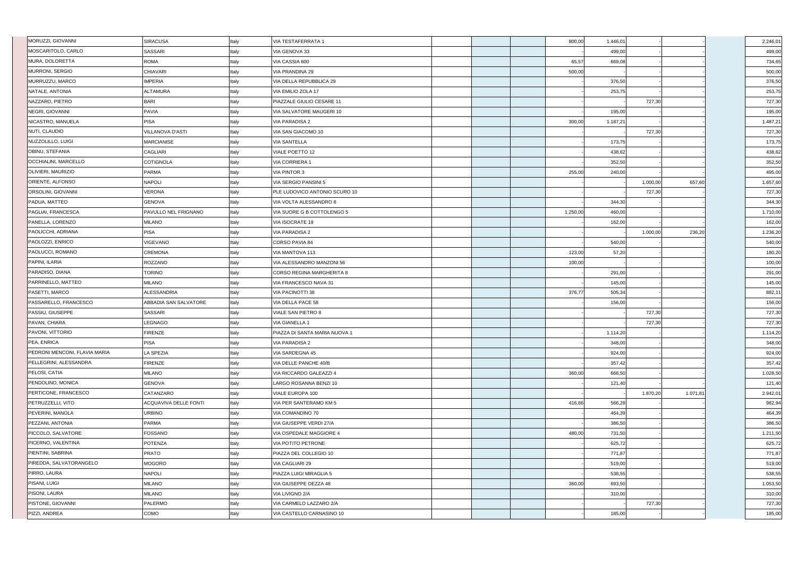| MORUZZI, GIOVANNI             | <b>SIRACUSA</b>              | Italy | <b>VIA TESTAFERRATA 1</b>        |  | 800,00   | 1.446,01 |          |          | 2.246,01 |
|-------------------------------|------------------------------|-------|----------------------------------|--|----------|----------|----------|----------|----------|
| MOSCARITOLO, CARLO            | <b>SASSARI</b>               | Italy | VIA GENOVA 33                    |  |          | 499,00   |          |          | 499,00   |
| MURA, DOLORETTA               | <b>ROMA</b>                  | Italy | VIA CASSIA 600                   |  | 65,57    | 669,08   |          |          | 734,65   |
| MURRONI, SERGIO               | <b>CHIAVARI</b>              | Italy | <b>VIA PRANDINA 29</b>           |  | 500,00   |          |          |          | 500,00   |
| MURRUZZU, MARCO               | <b>IMPERIA</b>               | Italy | VIA DELLA REPUBBLICA 29          |  |          | 376,50   |          |          | 376,50   |
| NATALE, ANTONIA               | <b>ALTAMURA</b>              | Italy | VIA EMILIO ZOLA 17               |  |          | 253,75   |          |          | 253,75   |
| NAZZARO, PIETRO               | <b>BARI</b>                  | Italy | PIAZZALE GIULIO CESARE 11        |  |          |          | 727,30   |          | 727,30   |
| NEGRI, GIOVANNI               | <b>PAVIA</b>                 | Italy | VIA SALVATORE MAUGERI 10         |  |          | 195,00   |          |          | 195,00   |
| NICASTRO, MANUELA             | <b>PISA</b>                  | Italy | <b>VIA PARADISA 2</b>            |  | 300,00   | 1.187,21 |          |          | 1.487,21 |
| NUTI, CLAUDIO                 | <b>VILLANOVA D'ASTI</b>      | Italy | VIA SAN GIACOMO 10               |  |          |          | 727,30   |          | 727,30   |
| NUZZOLILLO, LUIGI             | <b>MARCIANISE</b>            | Italy | <b>VIA SANTELLA</b>              |  |          | 173,75   |          |          | 173,75   |
| <b>OBINU, STEFANIA</b>        | <b>CAGLIARI</b>              | Italy | VIALE POETTO 12                  |  |          | 438,62   |          |          | 438,62   |
| <b>OCCHIALINI, MARCELLO</b>   | <b>COTIGNOLA</b>             | Italy | VIA CORRIERA 1                   |  |          | 352,50   |          |          | 352,50   |
| <b>OLIVIERI, MAURIZIO</b>     | <b>PARMA</b>                 | Italy | <b>VIA PINTOR 3</b>              |  | 255,00   | 240,00   |          |          | 495,00   |
| ORIENTE, ALFONSO              | <b>NAPOLI</b>                | Italy | VIA SERGIO PANSINI 5             |  |          |          | 1.000,00 | 657,60   | 1.657,60 |
| <b>ORSOLINI, GIOVANNI</b>     | <b>VERONA</b>                | Italy | PLE LUDOVICO ANTONIO SCURO 10    |  |          |          | 727,30   |          | 727,30   |
| PADUA, MATTEO                 | <b>GENOVA</b>                | Italy | VIA VOLTA ALESSANDRO 8           |  |          | 344,30   |          |          | 344,30   |
| PAGLIAI, FRANCESCA            | PAVULLO NEL FRIGNANO         | Italy | VIA SUORE G B COTTOLENGO 5       |  | 1.250,00 | 460,00   |          |          | 1.710,00 |
| PANELLA, LORENZO              | <b>MILANO</b>                | Italy | <b>VIA ISOCRATE 19</b>           |  |          | 162,00   |          |          | 162,00   |
| <b>PAOLICCHI, ADRIANA</b>     | <b>PISA</b>                  | Italy | <b>VIA PARADISA 2</b>            |  |          |          | 1.000,00 | 236,20   | 1.236,20 |
| PAOLOZZI, ENRICO              | VIGEVANO                     | Italy | CORSO PAVIA 84                   |  |          | 540,00   |          |          | 540,00   |
| PAOLUCCI, ROMANO              | <b>CREMONA</b>               | Italy | VIA MANTOVA 113                  |  | 123,00   | 57,20    |          |          | 180,20   |
| <b>PAPINI, ILARIA</b>         | ROZZANO                      | Italy | VIA ALESSANDRO MANZONI 56        |  | 100,00   |          |          |          | 100,00   |
| PARADISO, DIANA               | <b>TORINO</b>                | Italy | <b>CORSO REGINA MARGHERITA 8</b> |  |          | 291,00   |          |          | 291,00   |
| PARRINELLO, MATTEO            | <b>MILANO</b>                | Italy | VIA FRANCESCO NAVA 31            |  |          | 145,00   |          |          | 145,00   |
| <b>PASETTI, MARCO</b>         | <b>ALESSANDRIA</b>           | Italy | <b>VIA PACINOTTI 38</b>          |  | 376,77   | 505,34   |          |          | 882,11   |
| PASSARELLO, FRANCESCO         | ABBADIA SAN SALVATORE        | Italy | VIA DELLA PACE 58                |  |          | 156,00   |          |          | 156,00   |
| PASSIU, GIUSEPPE              | <b>SASSARI</b>               | Italy | <b>VIALE SAN PIETRO 8</b>        |  |          |          | 727,30   |          | 727,30   |
| PAVAN, CHIARA                 | LEGNAGO                      | Italy | VIA GIANELLA 1                   |  |          |          | 727,30   |          | 727,30   |
| PAVONI, VITTORIO              | <b>FIRENZE</b>               | Italy | PIAZZA DI SANTA MARIA NUOVA 1    |  |          | 1.114,20 |          |          | 1.114,20 |
| PEA, ENRICA                   | <b>PISA</b>                  | Italy | <b>VIA PARADISA 2</b>            |  |          | 348,00   |          |          | 348,00   |
| PEDRONI MENCONI, FLAVIA MARIA | <b>LA SPEZIA</b>             | Italy | VIA SARDEGNA 45                  |  |          | 924,00   |          |          | 924,00   |
| PELLEGRINI, ALESSANDRA        | <b>FIRENZE</b>               | Italy | VIA DELLE PANCHE 40/B            |  |          | 357,42   |          |          | 357,42   |
| <b>PELOSI, CATIA</b>          | <b>MILANO</b>                | Italy | VIA RICCARDO GALEAZZI 4          |  | 360,00   | 668,50   |          |          | 1.028,50 |
| PENDOLINO, MONICA             | <b>GENOVA</b>                | Italy | LARGO ROSANNA BENZI 10           |  |          | 121,40   |          |          | 121,40   |
| PERTICONE, FRANCESCO          | CATANZARO                    | Italy | VIALE EUROPA 100                 |  |          |          | 1.870,20 | 1.071,81 | 2.942,01 |
| PETRUZZELLI, VITO             | <b>ACQUAVIVA DELLE FONTI</b> | Italy | VIA PER SANTERAMO KM 5           |  | 416,66   | 566,28   |          |          | 982,94   |
| <b>PEVERINI, MANOLA</b>       | <b>URBINO</b>                | Italy | VIA COMANDINO 70                 |  |          | 464,39   |          |          | 464,39   |
| PEZZANI, ANTONIA              | PARMA                        | Italy | VIA GIUSEPPE VERDI 27/A          |  |          | 386,50   |          |          | 386,50   |
| PICCOLO, SALVATORE            | <b>FOSSANO</b>               | Italy | VIA OSPEDALE MAGGIORE 4          |  | 480,00   | 731,50   |          |          | 1.211,50 |
| <b>PICERNO, VALENTINA</b>     | <b>POTENZA</b>               | Italy | VIA POTITO PETRONE               |  |          | 625,72   |          |          | 625,72   |
| PIENTINI, SABRINA             | <b>PRATO</b>                 | Italy | PIAZZA DEL COLLEGIO 10           |  |          | 771,87   |          |          | 771,87   |
| PIREDDA, SALVATORANGELO       | <b>MOGORO</b>                | Italy | VIA CAGLIARI 29                  |  |          | 519,00   |          |          | 519,00   |
| PIRRO, LAURA                  | <b>NAPOLI</b>                | Italy | PIAZZA LUIGI MIRAGLIA 5          |  |          | 538,55   |          |          | 538,55   |
| <b>PISANI, LUIGI</b>          | <b>MILANO</b>                | Italy | VIA GIUSEPPE DEZZA 48            |  | 360,00   | 693,50   |          |          | 1.053,50 |
| <b>PISONI, LAURA</b>          | <b>MILANO</b>                | Italy | VIA LIVIGNO 2/A                  |  |          | 310,00   |          |          | 310,00   |
| <b>PISTONE, GIOVANNI</b>      | PALERMO                      | Italy | VIA CARMELO LAZZARO 2/A          |  |          |          | 727,30   |          | 727,30   |
| PIZZI, ANDREA                 | COMO                         | Italy | VIA CASTELLO CARNASINO 10        |  |          | 185,00   |          |          | 185,00   |
|                               |                              |       |                                  |  |          |          |          |          |          |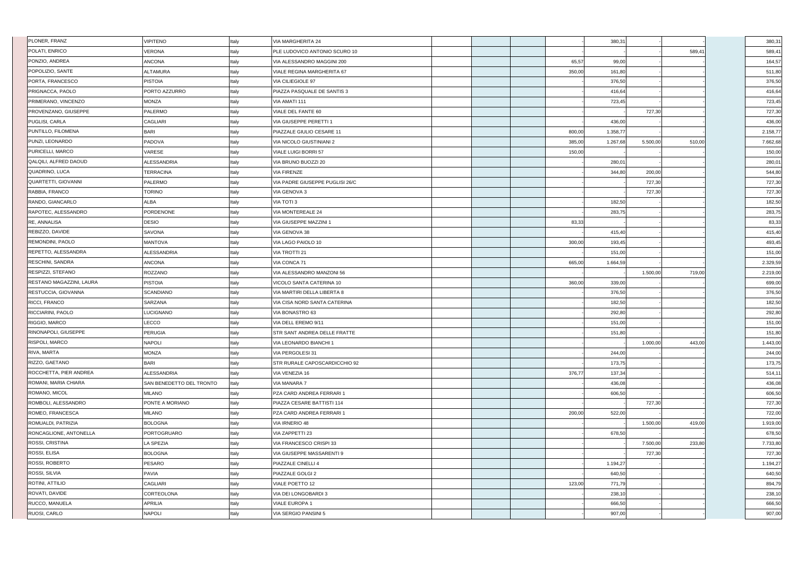| <b>PLONER, FRANZ</b>        | <b>VIPITENO</b>          | Italy | <b>VIA MARGHERITA 24</b>        |  |        | 380,31   |          |        | 380,31   |
|-----------------------------|--------------------------|-------|---------------------------------|--|--------|----------|----------|--------|----------|
| POLATI, ENRICO              | VERONA                   | Italy | PLE LUDOVICO ANTONIO SCURO 10   |  |        |          |          | 589,41 | 589,41   |
| PONZIO, ANDREA              | <b>ANCONA</b>            | Italy | VIA ALESSANDRO MAGGINI 200      |  | 65,57  | 99,00    |          |        | 164,57   |
| POPOLIZIO, SANTE            | <b>ALTAMURA</b>          | Italy | VIALE REGINA MARGHERITA 67      |  | 350,00 | 161,80   |          |        | 511,80   |
| PORTA, FRANCESCO            | <b>PISTOIA</b>           | Italy | <b>VIA CILIEGIOLE 97</b>        |  |        | 376,50   |          |        | 376,50   |
| <b>PRIGNACCA, PAOLO</b>     | PORTO AZZURRO            | Italy | PIAZZA PASQUALE DE SANTIS 3     |  |        | 416,64   |          |        | 416,64   |
| PRIMERANO, VINCENZO         | <b>MONZA</b>             | Italy | VIA AMATI 111                   |  |        | 723,45   |          |        | 723,45   |
| <b>PROVENZANO, GIUSEPPE</b> | <b>PALERMO</b>           | Italy | VIALE DEL FANTE 60              |  |        |          | 727,30   |        | 727,30   |
| <b>PUGLISI, CARLA</b>       | <b>CAGLIARI</b>          | Italy | VIA GIUSEPPE PERETTI 1          |  |        | 436,00   |          |        | 436,00   |
| PUNTILLO, FILOMENA          | <b>BARI</b>              | Italy | PIAZZALE GIULIO CESARE 11       |  | 800,00 | 1.358,77 |          |        | 2.158,77 |
| <b>PUNZI, LEONARDO</b>      | PADOVA                   | Italy | VIA NICOLO GIUSTINIANI 2        |  | 385,00 | 1.267,68 | 5.500,00 | 510,00 | 7.662,68 |
| <b>PURICELLI, MARCO</b>     | VARESE                   | Italy | <b>VIALE LUIGI BORRI 57</b>     |  | 150,00 |          |          |        | 150,00   |
| QALQILI, ALFRED DAOUD       | <b>ALESSANDRIA</b>       | Italy | VIA BRUNO BUOZZI 20             |  |        | 280,01   |          |        | 280,01   |
| QUADRINO, LUCA              | <b>TERRACINA</b>         | Italy | <b>VIA FIRENZE</b>              |  |        | 344,80   | 200,00   |        | 544,80   |
| QUARTETTI, GIOVANNI         | PALERMO                  | Italy | VIA PADRE GIUSEPPE PUGLISI 26/C |  |        |          | 727,30   |        | 727,30   |
| RABBIA, FRANCO              | <b>TORINO</b>            | Italy | VIA GENOVA 3                    |  |        |          | 727,30   |        | 727,30   |
| RANDO, GIANCARLO            | ALBA                     | Italy | VIA TOTI 3                      |  |        | 182,50   |          |        | 182,50   |
| RAPOTEC, ALESSANDRO         | PORDENONE                | Italy | <b>VIA MONTEREALE 24</b>        |  |        | 283,75   |          |        | 283,75   |
| RE, ANNALISA                | <b>DESIO</b>             | Italy | VIA GIUSEPPE MAZZINI 1          |  | 83,33  |          |          |        | 83,33    |
| REBIZZO, DAVIDE             | <b>SAVONA</b>            | Italy | VIA GENOVA 38                   |  |        | 415,40   |          |        | 415,40   |
| REMONDINI, PAOLO            | <b>MANTOVA</b>           | Italy | VIA LAGO PAIOLO 10              |  | 300,00 | 193,45   |          |        | 493,45   |
| REPETTO, ALESSANDRA         | <b>ALESSANDRIA</b>       | Italy | <b>VIA TROTTI 21</b>            |  |        | 151,00   |          |        | 151,00   |
| <b>RESCHINI, SANDRA</b>     | <b>ANCONA</b>            | Italy | VIA CONCA 71                    |  | 665,00 | 1.664,59 |          |        | 2.329,59 |
| RESPIZZI, STEFANO           | ROZZANO                  | Italy | VIA ALESSANDRO MANZONI 56       |  |        |          | 1.500,00 | 719,00 | 2.219,00 |
| RESTANO MAGAZZINI, LAURA    | <b>PISTOIA</b>           | Italy | VICOLO SANTA CATERINA 10        |  | 360,00 | 339,00   |          |        | 699,00   |
| RESTUCCIA, GIOVANNA         | <b>SCANDIANO</b>         | Italy | VIA MARTIRI DELLA LIBERTA 8     |  |        | 376,50   |          |        | 376,50   |
| RICCI, FRANCO               | SARZANA                  | Italy | VIA CISA NORD SANTA CATERINA    |  |        | 182,50   |          |        | 182,50   |
| RICCIARINI, PAOLO           | LUCIGNANO                | Italy | VIA BONASTRO 63                 |  |        | 292,80   |          |        | 292,80   |
| RIGGIO, MARCO               | LECCO                    | Italy | VIA DELL EREMO 9/11             |  |        | 151,00   |          |        | 151,00   |
| RINONAPOLI, GIUSEPPE        | <b>PERUGIA</b>           | Italy | STR SANT ANDREA DELLE FRATTE    |  |        | 151,80   |          |        | 151,80   |
| <b>RISPOLI, MARCO</b>       | <b>NAPOLI</b>            | Italy | VIA LEONARDO BIANCHI 1          |  |        |          | 1.000,00 | 443,00 | 1.443,00 |
| RIVA, MARTA                 | <b>MONZA</b>             | Italy | VIA PERGOLESI 31                |  |        | 244,00   |          |        | 244,00   |
| RIZZO, GAETANO              | <b>BARI</b>              | Italy | STR RURALE CAPOSCARDICCHIO 92   |  |        | 173,75   |          |        | 173,75   |
| ROCCHETTA, PIER ANDREA      | <b>ALESSANDRIA</b>       | Italy | VIA VENEZIA 16                  |  | 376,77 | 137,34   |          |        | 514,11   |
| ROMANI, MARIA CHIARA        | SAN BENEDETTO DEL TRONTO | Italy | <b>VIA MANARA 7</b>             |  |        | 436,08   |          |        | 436,08   |
| ROMANO, MICOL               | <b>MILANO</b>            | Italy | PZA CARD ANDREA FERRARI 1       |  |        | 606,50   |          |        | 606,50   |
| ROMBOLI, ALESSANDRO         | PONTE A MORIANO          | Italy | PIAZZA CESARE BATTISTI 114      |  |        |          | 727,30   |        | 727,30   |
| ROMEO, FRANCESCA            | <b>MILANO</b>            | Italy | PZA CARD ANDREA FERRARI 1       |  | 200,00 | 522,00   |          |        | 722,00   |
| ROMUALDI, PATRIZIA          | <b>BOLOGNA</b>           | Italy | VIA IRNERIO 48                  |  |        |          | 1.500,00 | 419,00 | 1.919,00 |
| RONCAGLIONE, ANTONELLA      | <b>PORTOGRUARO</b>       | Italy | VIA ZAPPETTI 23                 |  |        | 678,50   |          |        | 678,50   |
| <b>ROSSI, CRISTINA</b>      | LA SPEZIA                | Italy | VIA FRANCESCO CRISPI 33         |  |        |          | 7.500,00 | 233,80 | 7.733,80 |
| ROSSI, ELISA                | <b>BOLOGNA</b>           | Italy | VIA GIUSEPPE MASSARENTI 9       |  |        |          | 727,30   |        | 727,30   |
| ROSSI, ROBERTO              | <b>PESARO</b>            | Italy | PIAZZALE CINELLI 4              |  |        | 1.194,27 |          |        | 1.194,27 |
| ROSSI, SILVIA               | <b>PAVIA</b>             | Italy | PIAZZALE GOLGI 2                |  |        | 640,50   |          |        | 640,50   |
| ROTINI, ATTILIO             | CAGLIARI                 | Italy | <b>VIALE POETTO 12</b>          |  | 123,00 | 771,79   |          |        | 894,79   |
| ROVATI, DAVIDE              | CORTEOLONA               | Italy | VIA DEI LONGOBARDI 3            |  |        | 238,10   |          |        | 238,10   |
| RUCCO, MANUELA              | APRILIA                  | Italy | <b>VIALE EUROPA 1</b>           |  |        | 666,50   |          |        | 666,50   |
| RUOSI, CARLO                | <b>NAPOLI</b>            | Italy | VIA SERGIO PANSINI 5            |  |        | 907,00   |          |        | 907,00   |
|                             |                          |       |                                 |  |        |          |          |        |          |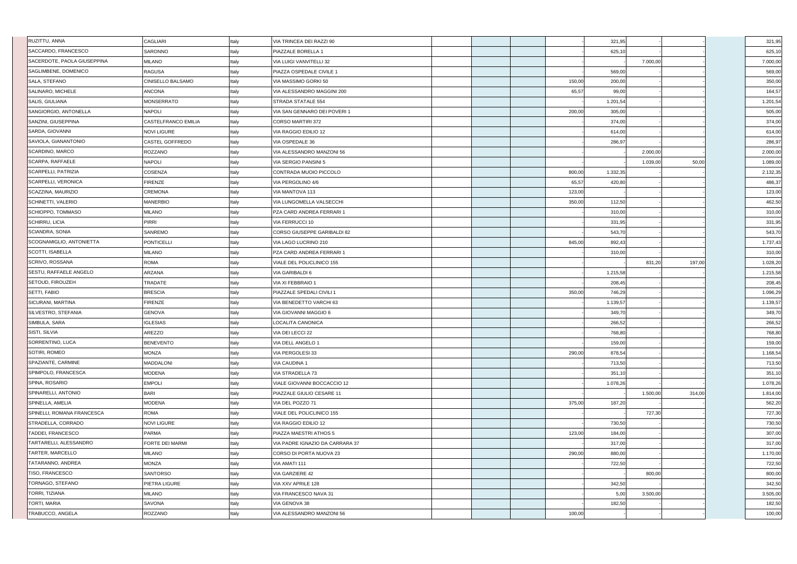| RUZITTU, ANNA                 | <b>CAGLIARI</b>            | Italy | VIA TRINCEA DEI RAZZI 90        |        | 321,95   |          |        | 321,95   |
|-------------------------------|----------------------------|-------|---------------------------------|--------|----------|----------|--------|----------|
| SACCARDO, FRANCESCO           | <b>SARONNO</b>             | Italy | PIAZZALE BORELLA 1              |        | 625,10   |          |        | 625,10   |
| SACERDOTE, PAOLA GIUSEPPINA   | <b>MILANO</b>              | Italy | VIA LUIGI VANVITELLI 32         |        |          | 7.000,00 |        | 7.000,00 |
| SAGLIMBENE, DOMENICO          | <b>RAGUSA</b>              | Italy | PIAZZA OSPEDALE CIVILE 1        |        | 569,00   |          |        | 569,00   |
| SALA, STEFANO                 | CINISELLO BALSAMO          | Italy | VIA MASSIMO GORKI 50            | 150,00 | 200,00   |          |        | 350,00   |
| SALINARO, MICHELE             | <b>ANCONA</b>              | Italy | VIA ALESSANDRO MAGGINI 200      | 65,57  | 99,00    |          |        | 164,57   |
| SALIS, GIULIANA               | MONSERRATO                 | Italy | STRADA STATALE 554              |        | 1.201,54 |          |        | 1.201,54 |
| SANGIORGIO, ANTONELLA         | <b>NAPOLI</b>              | Italy | VIA SAN GENNARO DEI POVERI 1    | 200,00 | 305,00   |          |        | 505,00   |
| SANZINI, GIUSEPPINA           | <b>CASTELFRANCO EMILIA</b> | Italy | <b>CORSO MARTIRI 372</b>        |        | 374,00   |          |        | 374,00   |
| SARDA, GIOVANNI               | <b>NOVI LIGURE</b>         | Italy | VIA RAGGIO EDILIO 12            |        | 614,00   |          |        | 614,00   |
| SAVIOLA, GIANANTONIO          | CASTEL GOFFREDO            | Italy | VIA OSPEDALE 36                 |        | 286,97   |          |        | 286,97   |
| SCARDINO, MARCO               | ROZZANO                    | Italy | VIA ALESSANDRO MANZONI 56       |        |          | 2.000,00 |        | 2.000,00 |
| SCARPA, RAFFAELE              | <b>NAPOLI</b>              | Italy | VIA SERGIO PANSINI 5            |        |          | 1.039,00 | 50,00  | 1.089,00 |
| SCARPELLI, PATRIZIA           | <b>COSENZA</b>             | Italy | CONTRADA MUOIO PICCOLO          | 800,00 | 1.332,35 |          |        | 2.132,35 |
| <b>SCARPELLI, VERONICA</b>    | <b>FIRENZE</b>             | Italy | VIA PERGOLINO 4/6               | 65,57  | 420,80   |          |        | 486,37   |
| SCAZZINA, MAURIZIO            | <b>CREMONA</b>             | Italy | VIA MANTOVA 113                 | 123,00 |          |          |        | 123,00   |
| SCHINETTI, VALERIO            | <b>MANERBIO</b>            | Italy | VIA LUNGOMELLA VALSECCHI        | 350,00 | 112,50   |          |        | 462,50   |
| SCHIOPPO, TOMMASO             | <b>MILANO</b>              | Italy | PZA CARD ANDREA FERRARI 1       |        | 310,00   |          |        | 310,00   |
| SCHIRRU, LICIA                | <b>PIRRI</b>               | Italy | VIA FERRUCCI 10                 |        | 331,95   |          |        | 331,95   |
| <b>SCIANDRA, SONIA</b>        | SANREMO                    | Italy | CORSO GIUSEPPE GARIBALDI 82     |        | 543,70   |          |        | 543,70   |
| SCOGNAMIGLIO, ANTONIETTA      | <b>PONTICELLI</b>          | Italy | VIA LAGO LUCRINO 210            | 845,00 | 892,43   |          |        | 1.737,43 |
| SCOTTI, ISABELLA              | <b>MILANO</b>              | Italy | PZA CARD ANDREA FERRARI 1       |        | 310,00   |          |        | 310,00   |
| <b>SCRIVO, ROSSANA</b>        | <b>ROMA</b>                | Italy | VIALE DEL POLICLINICO 155       |        |          | 831,20   | 197,00 | 1.028,20 |
| <b>SESTU, RAFFAELE ANGELO</b> | ARZANA                     | Italy | VIA GARIBALDI 6                 |        | 1.215,58 |          |        | 1.215,58 |
| <b>SETOUD, FIROUZEH</b>       | TRADATE                    | Italy | VIA XI FEBBRAIO 1               |        | 208,45   |          |        | 208,45   |
| SETTI, FABIO                  | <b>BRESCIA</b>             | Italy | PIAZZALE SPEDALI CIVILI 1       | 350,00 | 746,29   |          |        | 1.096,29 |
| SICURANI, MARTINA             | <b>FIRENZE</b>             | Italy | VIA BENEDETTO VARCHI 63         |        | 1.139,57 |          |        | 1.139,57 |
| SILVESTRO, STEFANIA           | <b>GENOVA</b>              | Italy | VIA GIOVANNI MAGGIO 6           |        | 349,70   |          |        | 349,70   |
| SIMBULA, SARA                 | <b>IGLESIAS</b>            | Italy | LOCALITA CANONICA               |        | 266,52   |          |        | 266,52   |
| SISTI, SILVIA                 | AREZZO                     | Italy | VIA DEI LECCI 22                |        | 768,80   |          |        | 768,80   |
| SORRENTINO, LUCA              | <b>BENEVENTO</b>           | Italy | VIA DELL ANGELO 1               |        | 159,00   |          |        | 159,00   |
| SOTIRI, ROMEO                 | <b>MONZA</b>               | Italy | VIA PERGOLESI 33                | 290,00 | 878,54   |          |        | 1.168,54 |
| SPAZIANTE, CARMINE            | <b>MADDALONI</b>           | Italy | VIA CAUDINA 1                   |        | 713,50   |          |        | 713,50   |
| SPIMPOLO, FRANCESCA           | <b>MODENA</b>              | Italy | <b>VIA STRADELLA 73</b>         |        | 351,10   |          |        | 351,10   |
| <b>SPINA, ROSARIO</b>         | <b>EMPOLI</b>              | Italy | VIALE GIOVANNI BOCCACCIO 12     |        | 1.078,26 |          |        | 1.078,26 |
| SPINARELLI, ANTONIO           | <b>BARI</b>                | Italy | PIAZZALE GIULIO CESARE 11       |        |          | 1.500,00 | 314,00 | 1.814,00 |
| SPINELLA, AMELIA              | <b>MODENA</b>              | Italy | VIA DEL POZZO 71                | 375,00 | 187,20   |          |        | 562,20   |
| SPINELLI, ROMANA FRANCESCA    | <b>ROMA</b>                | Italy | VIALE DEL POLICLINICO 155       |        |          | 727,30   |        | 727,30   |
| STRADELLA, CORRADO            | <b>NOVI LIGURE</b>         | Italy | VIA RAGGIO EDILIO 12            |        | 730,50   |          |        | 730,50   |
| TADDEI, FRANCESCO             | PARMA                      | Italy | PIAZZA MAESTRI ATHOS 5          | 123,00 | 184,00   |          |        | 307,00   |
| TARTARELLI, ALESSANDRO        | <b>FORTE DEI MARMI</b>     | Italy | VIA PADRE IGNAZIO DA CARRARA 37 |        | 317,00   |          |        | 317,00   |
| TARTER, MARCELLO              | <b>MILANO</b>              | Italy | CORSO DI PORTA NUOVA 23         | 290,00 | 880,00   |          |        | 1.170,00 |
| TATARANNO, ANDREA             | <b>MONZA</b>               | Italy | VIA AMATI 111                   |        | 722,50   |          |        | 722,50   |
| <b>TISO, FRANCESCO</b>        | <b>SANTORSO</b>            | Italy | <b>VIA GARZIERE 42</b>          |        |          | 800,00   |        | 800,00   |
| TORNAGO, STEFANO              | PIETRA LIGURE              | Italy | VIA XXV APRILE 128              |        | 342,50   |          |        | 342,50   |
| TORRI, TIZIANA                | <b>MILANO</b>              | Italy | VIA FRANCESCO NAVA 31           |        | 5,00     | 3.500,00 |        | 3.505,00 |
| TORTI, MARIA                  | <b>SAVONA</b>              | Italy | VIA GENOVA 38                   |        | 182,50   |          |        | 182,50   |
| TRABUCCO, ANGELA              | ROZZANO                    | Italy | VIA ALESSANDRO MANZONI 56       | 100,00 |          |          |        | 100,00   |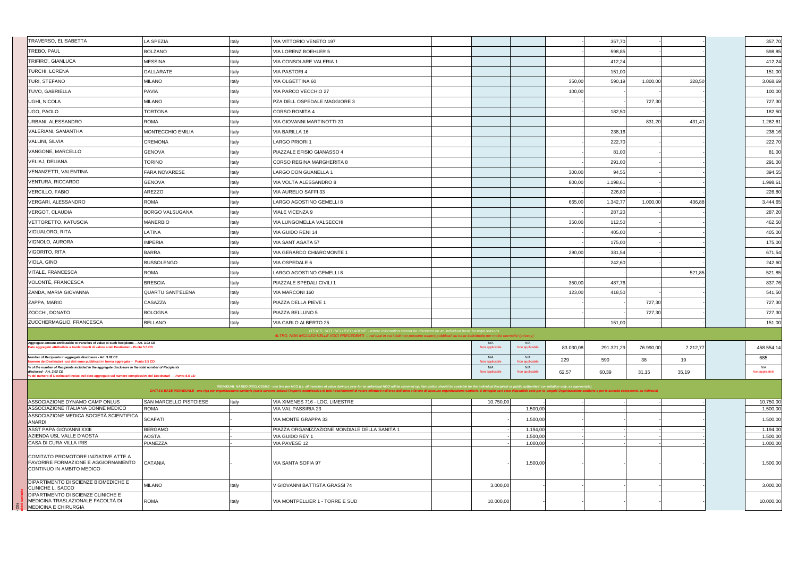| TRAVERSO, ELISABETTA                                                                                                                                                             | <b>LA SPEZIA</b>               | Italy | VIA VITTORIO VENETO 197                                                                                                                                                                                                                                                                                                                                                                                                                                          |                        |                        |           | 357,70     |           |          | 357,70                 |
|----------------------------------------------------------------------------------------------------------------------------------------------------------------------------------|--------------------------------|-------|------------------------------------------------------------------------------------------------------------------------------------------------------------------------------------------------------------------------------------------------------------------------------------------------------------------------------------------------------------------------------------------------------------------------------------------------------------------|------------------------|------------------------|-----------|------------|-----------|----------|------------------------|
| TREBO, PAUL                                                                                                                                                                      | <b>BOLZANO</b>                 | Italy | VIA LORENZ BOEHLER 5                                                                                                                                                                                                                                                                                                                                                                                                                                             |                        |                        |           | 598,85     |           |          | 598,85                 |
| TRIFIRO', GIANLUCA                                                                                                                                                               | <b>MESSINA</b>                 | Italy | VIA CONSOLARE VALERIA 1                                                                                                                                                                                                                                                                                                                                                                                                                                          |                        |                        |           | 412,24     |           |          | 412,24                 |
| <b>TURCHI, LORENA</b>                                                                                                                                                            | GALLARATE                      | Italy | VIA PASTORI 4                                                                                                                                                                                                                                                                                                                                                                                                                                                    |                        |                        |           | 151,00     |           |          | 151,00                 |
| TURI, STEFANO                                                                                                                                                                    | <b>MILANO</b>                  | Italy | VIA OLGETTINA 60                                                                                                                                                                                                                                                                                                                                                                                                                                                 |                        |                        | 350,00    | 590,19     | 1.800,00  | 328,50   | 3.068,69               |
| <b>TUVO, GABRIELLA</b>                                                                                                                                                           | <b>PAVIA</b>                   | Italy | VIA PARCO VECCHIO 27                                                                                                                                                                                                                                                                                                                                                                                                                                             |                        |                        | 100,00    |            |           |          | 100,00                 |
| UGHI, NICOLA                                                                                                                                                                     | <b>MILANO</b>                  | Italy | PZA DELL OSPEDALE MAGGIORE 3                                                                                                                                                                                                                                                                                                                                                                                                                                     |                        |                        |           |            | 727,30    |          | 727,30                 |
| UGO, PAOLO                                                                                                                                                                       | TORTONA                        | Italy | CORSO ROMITA 4                                                                                                                                                                                                                                                                                                                                                                                                                                                   |                        |                        |           | 182,50     |           |          | 182,50                 |
| URBANI, ALESSANDRO                                                                                                                                                               | ROMA                           | Italy | VIA GIOVANNI MARTINOTTI 20                                                                                                                                                                                                                                                                                                                                                                                                                                       |                        |                        |           |            | 831,20    | 431,4'   | 1.262,61               |
| VALERIANI, SAMANTHA                                                                                                                                                              | MONTECCHIO EMILIA              | Italy | VIA BARILLA 16                                                                                                                                                                                                                                                                                                                                                                                                                                                   |                        |                        |           | 238,16     |           |          | 238,16                 |
| VALLINI, SILVIA                                                                                                                                                                  | <b>CREMONA</b>                 | Italy | LARGO PRIORI 1                                                                                                                                                                                                                                                                                                                                                                                                                                                   |                        |                        |           | 222,70     |           |          | 222,70                 |
| VANGONE, MARCELLO                                                                                                                                                                | <b>GENOVA</b>                  | Italy | PIAZZALE EFISIO GIANASSO 4                                                                                                                                                                                                                                                                                                                                                                                                                                       |                        |                        |           | 81,00      |           |          | 81,00                  |
| VELIAJ, DELIANA                                                                                                                                                                  | Torino                         | Italy | CORSO REGINA MARGHERITA 8                                                                                                                                                                                                                                                                                                                                                                                                                                        |                        |                        |           | 291,00     |           |          | 291,00                 |
| VENANZETTI, VALENTINA                                                                                                                                                            | <b>FARA NOVARESE</b>           | Italy | LARGO DON GUANELLA 1                                                                                                                                                                                                                                                                                                                                                                                                                                             |                        |                        | 300,00    | 94,55      |           |          | 394,55                 |
| VENTURA, RICCARDO                                                                                                                                                                | GENOVA                         | Italy | VIA VOLTA ALESSANDRO 8                                                                                                                                                                                                                                                                                                                                                                                                                                           |                        |                        | 800,00    | 1.198,61   |           |          | 1.998,61               |
| VERCILLO, FABIO                                                                                                                                                                  | AREZZO                         | Italy | VIA AURELIO SAFFI 33                                                                                                                                                                                                                                                                                                                                                                                                                                             |                        |                        |           | 226,80     |           |          | 226,80                 |
| VERGARI, ALESSANDRO                                                                                                                                                              | ROMA                           | Italy | LARGO AGOSTINO GEMELLI 8                                                                                                                                                                                                                                                                                                                                                                                                                                         |                        |                        | 665,00    | 1.342,77   | 1.000,00  | 436,88   | 3.444,65               |
| <b>VERGOT, CLAUDIA</b>                                                                                                                                                           | <b>BORGO VALSUGANA</b>         | Italy | <b>VIALE VICENZA 9</b>                                                                                                                                                                                                                                                                                                                                                                                                                                           |                        |                        |           | 287,20     |           |          | 287,20                 |
| VETTORETTO, KATUSCIA                                                                                                                                                             | <b>MANERBIO</b>                | Italy | VIA LUNGOMELLA VALSECCHI                                                                                                                                                                                                                                                                                                                                                                                                                                         |                        |                        | 350,00    | 112,50     |           |          | 462,50                 |
| VIGLIALORO, RITA                                                                                                                                                                 | LATINA                         | Italy | VIA GUIDO RENI 14                                                                                                                                                                                                                                                                                                                                                                                                                                                |                        |                        |           | 405,00     |           |          | 405,00                 |
| VIGNOLO, AURORA                                                                                                                                                                  | <b>IMPERIA</b>                 | Italy | VIA SANT AGATA 57                                                                                                                                                                                                                                                                                                                                                                                                                                                |                        |                        |           | 175,00     |           |          | 175,00                 |
| VIGORITO, RITA                                                                                                                                                                   | <b>BARRA</b>                   | Italy | VIA GERARDO CHIAROMONTE 1                                                                                                                                                                                                                                                                                                                                                                                                                                        |                        |                        | 290,00    | 381,54     |           |          | 671,54                 |
| VIOLA, GINO                                                                                                                                                                      | <b>BUSSOLENGO</b>              | Italy | VIA OSPEDALE 6                                                                                                                                                                                                                                                                                                                                                                                                                                                   |                        |                        |           | 242,60     |           |          | 242,60                 |
| VITALE, FRANCESCA                                                                                                                                                                | <b>ROMA</b>                    | Italy | LARGO AGOSTINO GEMELLI 8                                                                                                                                                                                                                                                                                                                                                                                                                                         |                        |                        |           |            |           | 521,85   | 521,85                 |
| VOLONTÈ, FRANCESCA                                                                                                                                                               | <b>BRESCIA</b>                 | Italy | PIAZZALE SPEDALI CIVILI 1                                                                                                                                                                                                                                                                                                                                                                                                                                        |                        |                        | 350,00    | 487,76     |           |          | 837,76                 |
| ZANDA, MARIA GIOVANNA                                                                                                                                                            | QUARTU SANT'ELENA              | Italy | VIA MARCONI 160                                                                                                                                                                                                                                                                                                                                                                                                                                                  |                        |                        | 123,00    | 418,50     |           |          | 541,50                 |
| ZAPPA, MARIO                                                                                                                                                                     | CASAZZA                        | Italy | PIAZZA DELLA PIEVE 1                                                                                                                                                                                                                                                                                                                                                                                                                                             |                        |                        |           |            | 727,30    |          | 727,30                 |
| ZOCCHI, DONATO                                                                                                                                                                   | <b>BOLOGNA</b>                 | Italy | PIAZZA BELLUNO 5                                                                                                                                                                                                                                                                                                                                                                                                                                                 |                        |                        |           |            | 727,30    |          | 727,30                 |
| <b>ZUCCHERMAGLIO, FRANCESCA</b>                                                                                                                                                  | <b>BELLANO</b>                 | Italy | VIA CARLO ALBERTO 25                                                                                                                                                                                                                                                                                                                                                                                                                                             |                        |                        |           | 151,00     |           |          | 151,00                 |
|                                                                                                                                                                                  |                                |       | OTHER, NOT INCLUDED ABOVE - where information cannot be disclosed on an individual basis for legal reasons<br><b>ALTRO, NON INCLUS</b>                                                                                                                                                                                                                                                                                                                           |                        |                        |           |            |           |          |                        |
| Aggregate amount attributable to transfers of value to such Recipients -- Art. 3.02 CE<br>ato aggregato attribuibile a trasferimenti di valore a tali Destinatari - Punto 5.5 CD |                                |       |                                                                                                                                                                                                                                                                                                                                                                                                                                                                  | N/A<br>Non applicabile | N/A<br>Non applicabile | 83.030,08 | 291.321,29 | 76.990,00 | 7.212,77 | 458.554,14             |
| Number of Recipients in aggregate disclosure - Art. 3.02 CE<br>umero dei Destinatari i cui dati sono pubblicati in forma aggregata - Punto 5.5 CD                                |                                |       |                                                                                                                                                                                                                                                                                                                                                                                                                                                                  | N/A<br>Non applicabil  | N/A<br>Non applicabile | 229       | 590        | 38        | 19       | 685                    |
| % of the number of Recipients included in the aggregate disclosure in the total number of Recipients<br>disclosed - Art. 3.02 CE                                                 |                                |       |                                                                                                                                                                                                                                                                                                                                                                                                                                                                  | N/A<br>Non applicabile | N/A<br>Non applicabile | 62,57     | 60,39      | 31,15     | 35,19    | N/A<br>Non applicabile |
| 6 del numero di Destinatari inclusi nel dato aggregato sul numero complessivo dei Destinatari - Punto 5.5 CD                                                                     |                                |       |                                                                                                                                                                                                                                                                                                                                                                                                                                                                  |                        |                        |           |            |           |          |                        |
|                                                                                                                                                                                  |                                |       | INDIVIDUAL NAMED DISCLOSURE - one line per HCO (i.e. all transfers of value during a year for an individual HCO will be summed up: itemization should be available for the individual Recipient or public authorities' consult<br>DATI SU BASE INDIVIDUALE - una riga per organizzazione sanitaria (ossia saranno indicati l'importo complessivo di tutti i trasferimenti di valore effettuati nell'arco dell'anno a favore di ciascuna organizzazione sanitaria |                        |                        |           |            |           |          |                        |
| ASSOCIAZIONE DYNAMO CAMP ONLUS                                                                                                                                                   | <b>SAN MARCELLO PISTOIESE</b>  | Italy | VIA XIMENES 716 - LOC. LIMESTRE                                                                                                                                                                                                                                                                                                                                                                                                                                  | 10.750,00              |                        |           |            |           |          | 10.750,00              |
| ASSOCIAZIONE ITALIANA DONNE MEDICO                                                                                                                                               | <b>ROMA</b>                    |       | VIA VAL PASSIRIA 23                                                                                                                                                                                                                                                                                                                                                                                                                                              |                        | 1.500,00               |           |            |           |          | 1.500,00               |
| ASSOCIAZIONE MEDICA SOCIETÀ SCIENTIFICA<br><b>ANARDI</b>                                                                                                                         | <b>SCAFATI</b>                 |       | VIA MONTE GRAPPA 33                                                                                                                                                                                                                                                                                                                                                                                                                                              |                        | 1.500,00               |           |            |           |          | 1.500,00               |
| <b>ASST PAPA GIOVANNI XXIII</b><br>AZIENDA USL VALLE D'AOSTA                                                                                                                     | <b>BERGAMO</b><br><b>AOSTA</b> |       | PIAZZA ORGANIZZAZIONE MONDIALE DELLA SANITÀ 1<br>VIA GUIDO REY 1                                                                                                                                                                                                                                                                                                                                                                                                 |                        | 1.194,00<br>1.500,00   |           |            |           |          | 1.194,00<br>1.500,00   |
| CASA DI CURA VILLA IRIS                                                                                                                                                          | <b>PIANEZZA</b>                |       | VIA PAVESE 12                                                                                                                                                                                                                                                                                                                                                                                                                                                    |                        | 1.000,00               |           |            |           |          | 1.000,00               |
| COMITATO PROMOTORE INIZIATIVE ATTE A<br>FAVORIRE FORMAZIONE E AGGIORNAMENTO<br>CONTINUO IN AMBITO MEDICO                                                                         | <b>CATANIA</b>                 |       | VIA SANTA SOFIA 97                                                                                                                                                                                                                                                                                                                                                                                                                                               |                        | 1.500,00               |           |            |           |          | 1.500,00               |
| DIPARTIMENTO DI SCIENZE BIOMEDICHE E<br>CLINICHE L. SACCO                                                                                                                        | <b>MILANO</b>                  | Italy | / GIOVANNI BATTISTA GRASSI 74                                                                                                                                                                                                                                                                                                                                                                                                                                    | 3.000,00               |                        |           |            |           |          | 3.000,00               |
| DIPARTIMENTO DI SCIENZE CLINICHE E<br>MEDICINA TRASLAZIONALE FACOLTÀ DI<br><b>MEDICINA E CHIRURGIA</b>                                                                           | <b>ROMA</b>                    | Italy | VIA MONTPELLIER 1 - TORRE E SUD                                                                                                                                                                                                                                                                                                                                                                                                                                  | 10.000,00              |                        |           |            |           |          | 10.000,00              |
|                                                                                                                                                                                  |                                |       |                                                                                                                                                                                                                                                                                                                                                                                                                                                                  |                        |                        |           |            |           |          |                        |

**HCOs**